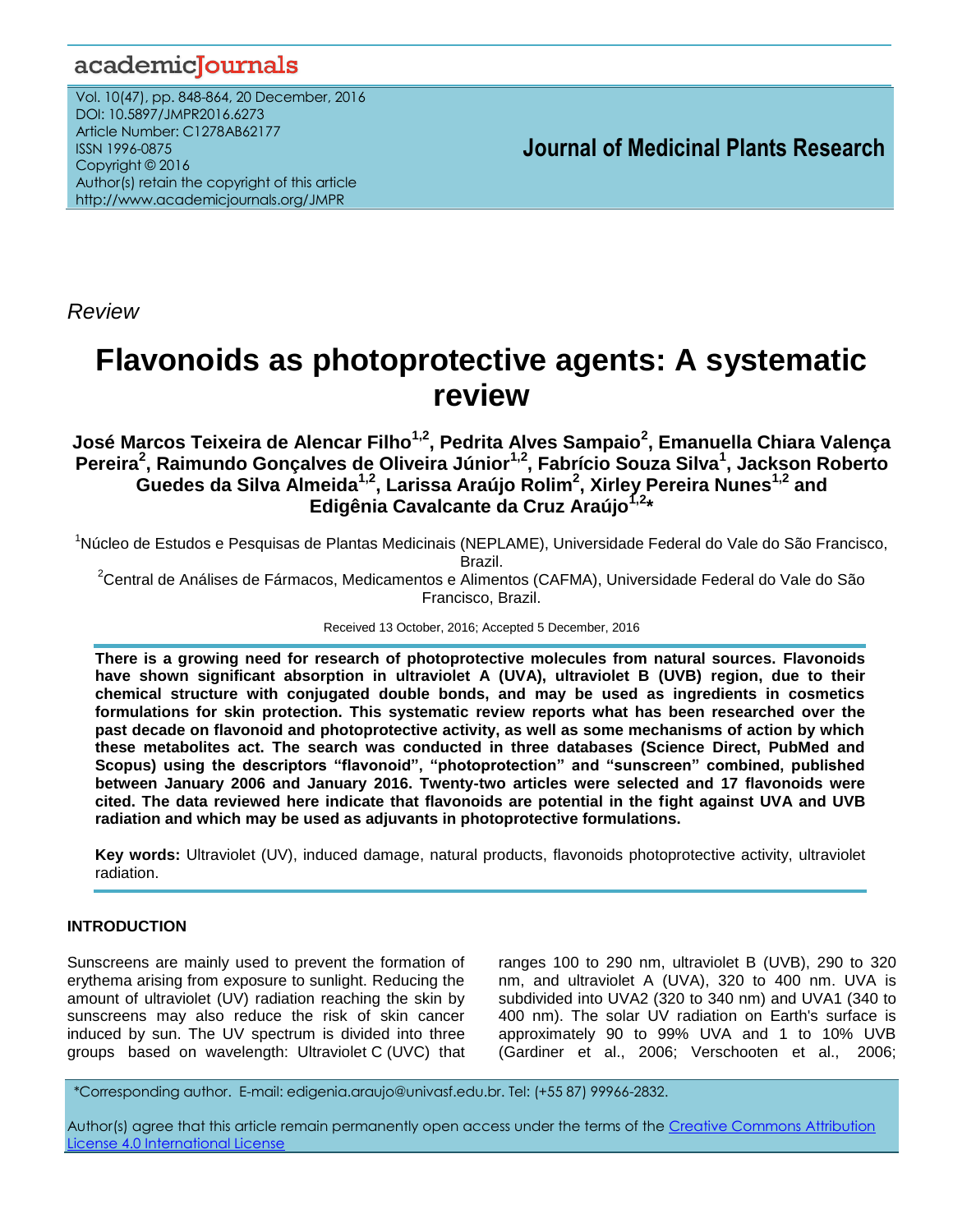# academicJournals

Vol. 10(47), pp. 848-864, 20 December, 2016 DOI: 10.5897/JMPR2016.6273 Article Number: C1278AB62177 ISSN 1996-0875 Copyright © 2016 Author(s) retain the copyright of this article http://www.academicjournals.org/JMPR

 **Journal of Medicinal Plants Research**

*Review*

# **Flavonoids as photoprotective agents: A systematic review**

**José Marcos Teixeira de Alencar Filho1,2, Pedrita Alves Sampaio<sup>2</sup> , Emanuella Chiara Valença Pereira<sup>2</sup> , Raimundo Gonçalves de Oliveira Júnior1,2, Fabrício Souza Silva<sup>1</sup> , Jackson Roberto Guedes da Silva Almeida1,2, Larissa Araújo Rolim<sup>2</sup> , Xirley Pereira Nunes1,2 and Edigênia Cavalcante da Cruz Araújo1,2\***

<sup>1</sup>Núcleo de Estudos e Pesquisas de Plantas Medicinais (NEPLAME), Universidade Federal do Vale do São Francisco, Brazil.

<sup>2</sup>Central de Análises de Fármacos, Medicamentos e Alimentos (CAFMA), Universidade Federal do Vale do São Francisco, Brazil.

Received 13 October, 2016; Accepted 5 December, 2016

**There is a growing need for research of photoprotective molecules from natural sources. Flavonoids have shown significant absorption in ultraviolet A (UVA), ultraviolet B (UVB) region, due to their chemical structure with conjugated double bonds, and may be used as ingredients in cosmetics formulations for skin protection. This systematic review reports what has been researched over the past decade on flavonoid and photoprotective activity, as well as some mechanisms of action by which these metabolites act. The search was conducted in three databases (Science Direct, PubMed and Scopus) using the descriptors "flavonoid", "photoprotection" and "sunscreen" combined, published between January 2006 and January 2016. Twenty-two articles were selected and 17 flavonoids were cited. The data reviewed here indicate that flavonoids are potential in the fight against UVA and UVB radiation and which may be used as adjuvants in photoprotective formulations.**

**Key words:** Ultraviolet (UV), induced damage, natural products, flavonoids photoprotective activity, ultraviolet radiation.

#### **INTRODUCTION**

Sunscreens are mainly used to prevent the formation of erythema arising from exposure to sunlight. Reducing the amount of ultraviolet (UV) radiation reaching the skin by sunscreens may also reduce the risk of skin cancer induced by sun. The UV spectrum is divided into three groups based on wavelength: Ultraviolet C (UVC) that ranges 100 to 290 nm, ultraviolet B (UVB), 290 to 320 nm, and ultraviolet A (UVA), 320 to 400 nm. UVA is subdivided into UVA2 (320 to 340 nm) and UVA1 (340 to 400 nm). The solar UV radiation on Earth's surface is approximately 90 to 99% UVA and 1 to 10% UVB (Gardiner et al., 2006; Verschooten et al., 2006;

*\**Corresponding author. E-mail: edigenia.araujo@univasf.edu.br. Tel: (+55 87) 99966-2832.

Author(s) agree that this article remain permanently open access under the terms of the [Creative Commons Attribution](http://creativecommons.org/licenses/by/4.0/deed.en_US) [License 4.0 International License](http://creativecommons.org/licenses/by/4.0/deed.en_US)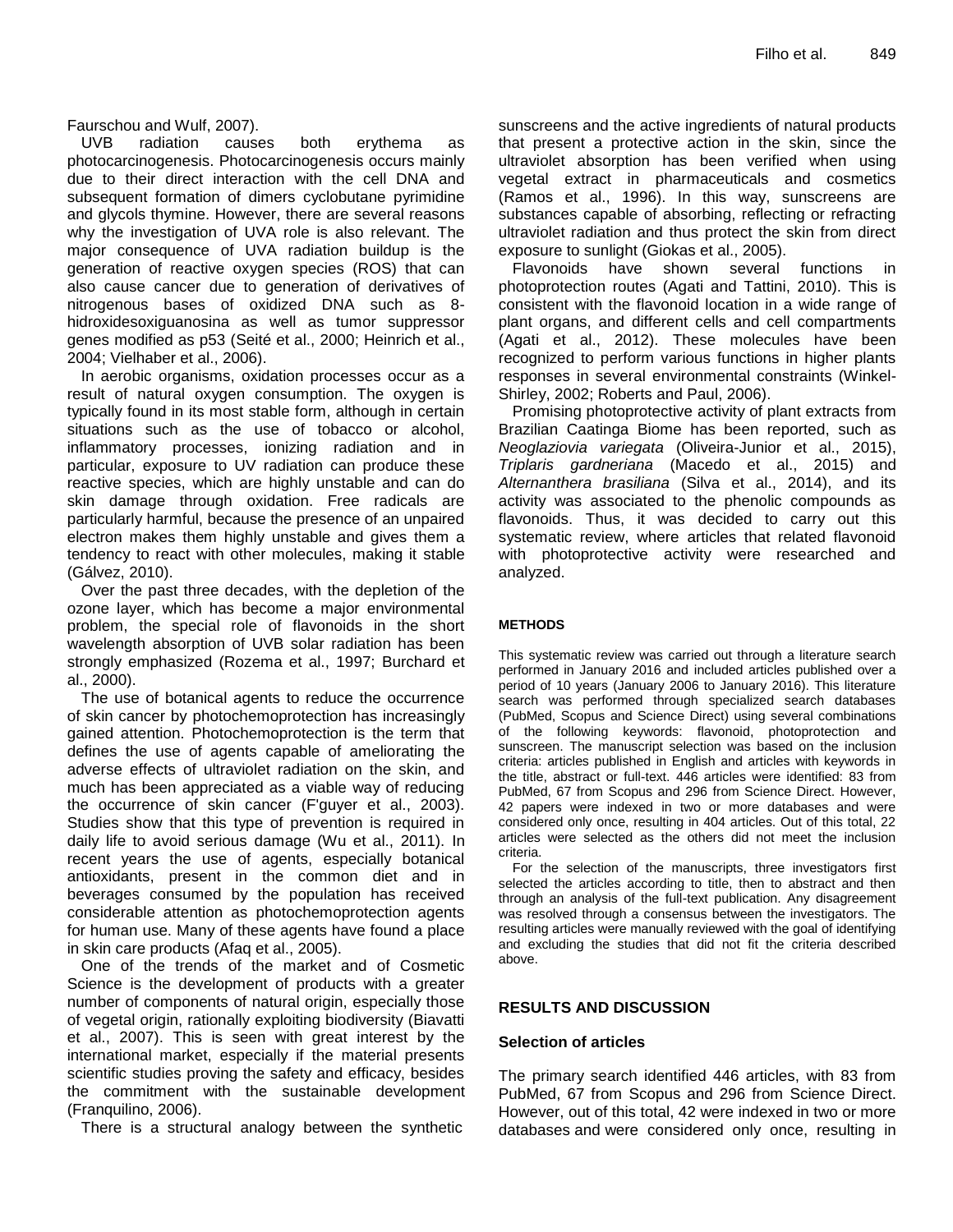Faurschou and Wulf, 2007).

UVB radiation causes both erythema as photocarcinogenesis. Photocarcinogenesis occurs mainly due to their direct interaction with the cell DNA and subsequent formation of dimers cyclobutane pyrimidine and glycols thymine. However, there are several reasons why the investigation of UVA role is also relevant. The major consequence of UVA radiation buildup is the generation of reactive oxygen species (ROS) that can also cause cancer due to generation of derivatives of nitrogenous bases of oxidized DNA such as 8 hidroxidesoxiguanosina as well as tumor suppressor genes modified as p53 (Seité et al., 2000; Heinrich et al., 2004; Vielhaber et al., 2006).

In aerobic organisms, oxidation processes occur as a result of natural oxygen consumption. The oxygen is typically found in its most stable form, although in certain situations such as the use of tobacco or alcohol, inflammatory processes, ionizing radiation and in particular, exposure to UV radiation can produce these reactive species, which are highly unstable and can do skin damage through oxidation. Free radicals are particularly harmful, because the presence of an unpaired electron makes them highly unstable and gives them a tendency to react with other molecules, making it stable (Gálvez, 2010).

Over the past three decades, with the depletion of the ozone layer, which has become a major environmental problem, the special role of flavonoids in the short wavelength absorption of UVB solar radiation has been strongly emphasized (Rozema et al., 1997; Burchard et al., 2000).

The use of botanical agents to reduce the occurrence of skin cancer by photochemoprotection has increasingly gained attention. Photochemoprotection is the term that defines the use of agents capable of ameliorating the adverse effects of ultraviolet radiation on the skin, and much has been appreciated as a viable way of reducing the occurrence of skin cancer (F'guyer et al., 2003). Studies show that this type of prevention is required in daily life to avoid serious damage (Wu et al., 2011). In recent years the use of agents, especially botanical antioxidants, present in the common diet and in beverages consumed by the population has received considerable attention as photochemoprotection agents for human use. Many of these agents have found a place in skin care products (Afaq et al., 2005).

One of the trends of the market and of Cosmetic Science is the development of products with a greater number of components of natural origin, especially those of vegetal origin, rationally exploiting biodiversity (Biavatti et al., 2007). This is seen with great interest by the international market, especially if the material presents scientific studies proving the safety and efficacy, besides the commitment with the sustainable development (Franquilino, 2006).

There is a structural analogy between the synthetic

sunscreens and the active ingredients of natural products that present a protective action in the skin, since the ultraviolet absorption has been verified when using vegetal extract in pharmaceuticals and cosmetics (Ramos et al., 1996). In this way, sunscreens are substances capable of absorbing, reflecting or refracting ultraviolet radiation and thus protect the skin from direct exposure to sunlight (Giokas et al., 2005).

Flavonoids have shown several functions in photoprotection routes (Agati and Tattini, 2010). This is consistent with the flavonoid location in a wide range of plant organs, and different cells and cell compartments (Agati et al., 2012). These molecules have been recognized to perform various functions in higher plants responses in several environmental constraints (Winkel-Shirley, 2002; Roberts and Paul, 2006).

Promising photoprotective activity of plant extracts from Brazilian Caatinga Biome has been reported, such as *Neoglaziovia variegata* (Oliveira-Junior et al., 2015), *Triplaris gardneriana* (Macedo et al., 2015) and *Alternanthera brasiliana* (Silva et al., 2014), and its activity was associated to the phenolic compounds as flavonoids. Thus, it was decided to carry out this systematic review, where articles that related flavonoid with photoprotective activity were researched and analyzed.

#### **METHODS**

This systematic review was carried out through a literature search performed in January 2016 and included articles published over a period of 10 years (January 2006 to January 2016). This literature search was performed through specialized search databases (PubMed, Scopus and Science Direct) using several combinations of the following keywords: flavonoid, photoprotection and sunscreen. The manuscript selection was based on the inclusion criteria: articles published in English and articles with keywords in the title, abstract or full-text. 446 articles were identified: 83 from PubMed, 67 from Scopus and 296 from Science Direct. However, 42 papers were indexed in two or more databases and were considered only once, resulting in 404 articles. Out of this total, 22 articles were selected as the others did not meet the inclusion criteria.

For the selection of the manuscripts, three investigators first selected the articles according to title, then to abstract and then through an analysis of the full-text publication. Any disagreement was resolved through a consensus between the investigators. The resulting articles were manually reviewed with the goal of identifying and excluding the studies that did not fit the criteria described above.

#### **RESULTS AND DISCUSSION**

#### **Selection of articles**

The primary search identified 446 articles, with 83 from PubMed, 67 from Scopus and 296 from Science Direct. However, out of this total, 42 were indexed in two or more databases and were considered only once, resulting in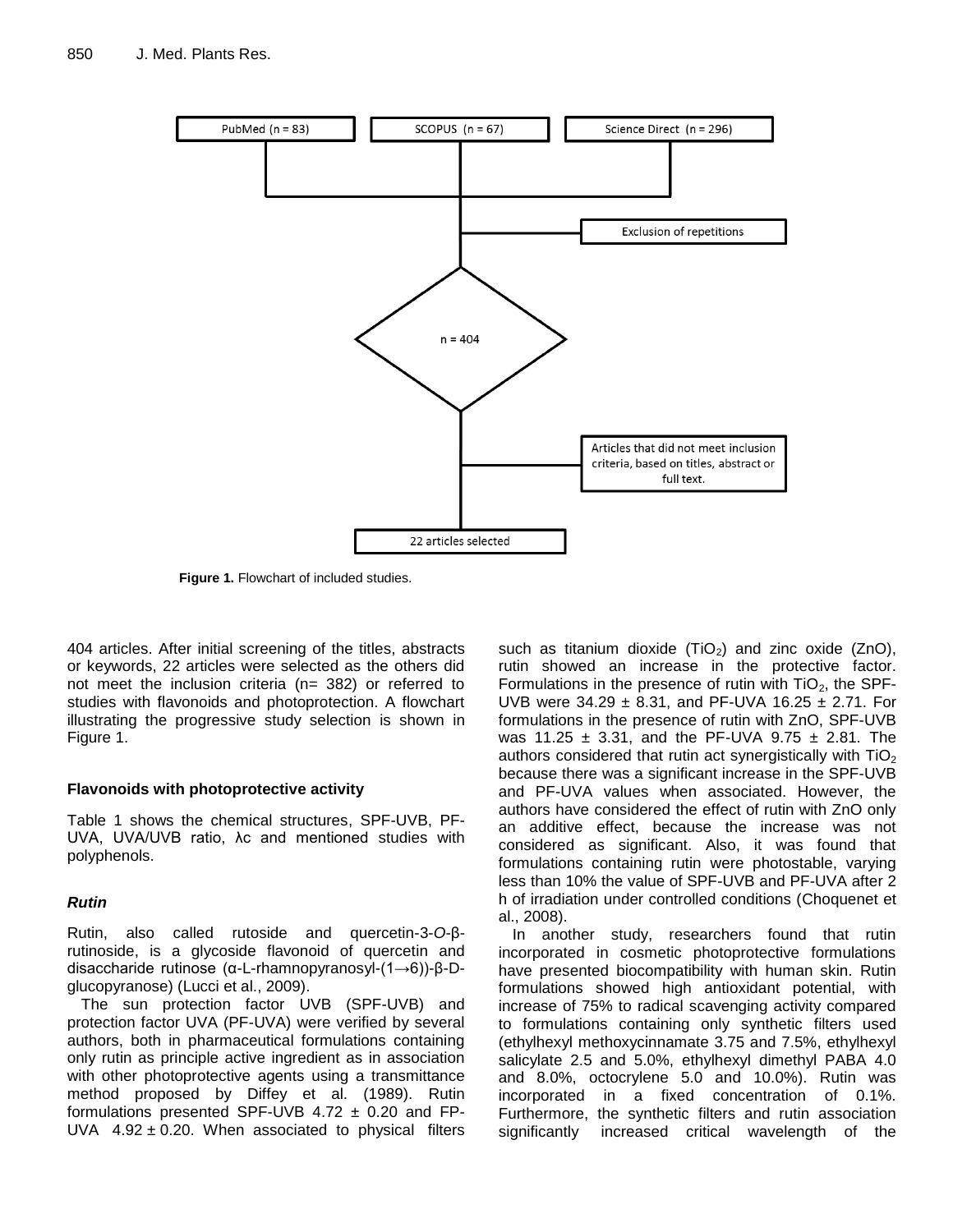

**Figure 1.** Flowchart of included studies.

404 articles. After initial screening of the titles, abstracts or keywords, 22 articles were selected as the others did not meet the inclusion criteria (n= 382) or referred to studies with flavonoids and photoprotection. A flowchart illustrating the progressive study selection is shown in Figure 1.

#### **Flavonoids with photoprotective activity**

Table 1 shows the chemical structures, SPF-UVB, PF-UVA, UVA/UVB ratio, λc and mentioned studies with polyphenols.

#### *Rutin*

Rutin, also called rutoside and quercetin-3-*O*-βrutinoside, is a glycoside flavonoid of quercetin and disaccharide rutinose (α-L-rhamnopyranosyl-(1→6))-β-Dglucopyranose) (Lucci et al., 2009).

The sun protection factor UVB (SPF-UVB) and protection factor UVA (PF-UVA) were verified by several authors, both in pharmaceutical formulations containing only rutin as principle active ingredient as in association with other photoprotective agents using a transmittance method proposed by Diffey et al. (1989). Rutin formulations presented SPF-UVB  $4.72 \pm 0.20$  and FP-UVA  $4.92 \pm 0.20$ . When associated to physical filters such as titanium dioxide  $(TiO<sub>2</sub>)$  and zinc oxide (ZnO), rutin showed an increase in the protective factor. Formulations in the presence of rutin with  $TiO<sub>2</sub>$ , the SPF-UVB were  $34.29 \pm 8.31$ , and PF-UVA 16.25  $\pm$  2.71. For formulations in the presence of rutin with ZnO, SPF-UVB was 11.25  $\pm$  3.31, and the PF-UVA 9.75  $\pm$  2.81. The authors considered that rutin act synergistically with  $TiO<sub>2</sub>$ because there was a significant increase in the SPF-UVB and PF-UVA values when associated. However, the authors have considered the effect of rutin with ZnO only an additive effect, because the increase was not considered as significant. Also, it was found that formulations containing rutin were photostable, varying less than 10% the value of SPF-UVB and PF-UVA after 2 h of irradiation under controlled conditions (Choquenet et al., 2008).

In another study, researchers found that rutin incorporated in cosmetic photoprotective formulations have presented biocompatibility with human skin. Rutin formulations showed high antioxidant potential, with increase of 75% to radical scavenging activity compared to formulations containing only synthetic filters used (ethylhexyl methoxycinnamate 3.75 and 7.5%, ethylhexyl salicylate 2.5 and 5.0%, ethylhexyl dimethyl PABA 4.0 and 8.0%, octocrylene 5.0 and 10.0%). Rutin was incorporated in a fixed concentration of 0.1%. Furthermore, the synthetic filters and rutin association significantly increased critical wavelength of the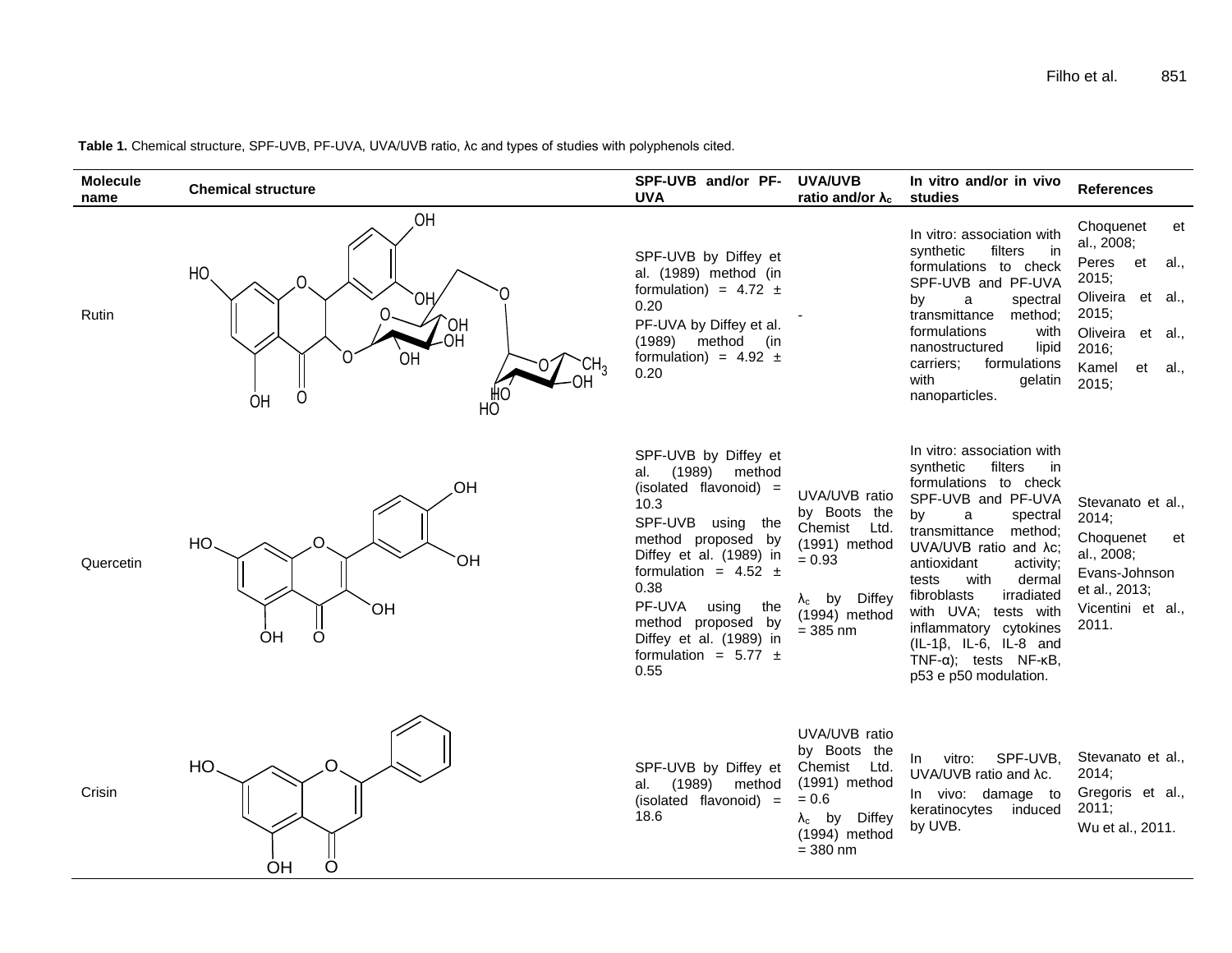**Table 1.** Chemical structure, SPF-UVB, PF-UVA, UVA/UVB ratio, λc and types of studies with polyphenols cited.

| <b>Molecule</b><br>name | <b>Chemical structure</b>                                                     | SPF-UVB and/or PF-<br>UVA                                                                                                                                                                                                                                                                                  | <b>UVA/UVB</b><br>ratio and/or $\lambda_c$                                                                                          | In vitro and/or in vivo<br>studies                                                                                                                                                                                                                                                                                                                                                                                            | <b>References</b>                                                                                                                                 |
|-------------------------|-------------------------------------------------------------------------------|------------------------------------------------------------------------------------------------------------------------------------------------------------------------------------------------------------------------------------------------------------------------------------------------------------|-------------------------------------------------------------------------------------------------------------------------------------|-------------------------------------------------------------------------------------------------------------------------------------------------------------------------------------------------------------------------------------------------------------------------------------------------------------------------------------------------------------------------------------------------------------------------------|---------------------------------------------------------------------------------------------------------------------------------------------------|
| <b>Rutin</b>            | OH<br>HO.<br>ΟH<br>HO<br>HO-<br>OH<br>CH <sub>3</sub><br>Ω<br><b>OH</b><br>HÔ | SPF-UVB by Diffey et<br>al. (1989) method (in<br>formulation) = $4.72 \pm$<br>0.20<br>PF-UVA by Diffey et al.<br>$(1989)$ method (in<br>formulation) = $4.92 \pm$<br>0.20                                                                                                                                  |                                                                                                                                     | In vitro: association with<br>synthetic<br>filters<br>in.<br>formulations to check<br>SPF-UVB and PF-UVA<br>a<br>spectral<br>by<br>transmittance<br>method:<br>formulations<br>with<br>lipid<br>nanostructured<br>formulations<br>carriers;<br>with<br>gelatin<br>nanoparticles.                                                                                                                                              | Choquenet<br>et<br>al., 2008;<br>Peres et<br>al.,<br>2015;<br>Oliveira et al.,<br>2015;<br>Oliveira et al.,<br>2016;<br>Kamel<br>et al.,<br>2015; |
| Quercetin               | OH<br>HO<br>OH<br><b>OH</b><br>$\circ$<br>OH                                  | SPF-UVB by Diffey et<br>(1989)<br>method<br>al.<br>(isolated flavonoid) =<br>10.3<br>SPF-UVB using the<br>method proposed by<br>Diffey et al. (1989) in<br>formulation = $4.52 \pm$<br>0.38<br>PF-UVA<br>using<br>the<br>method proposed by<br>Diffey et al. (1989) in<br>formulation = $5.77 \pm$<br>0.55 | UVA/UVB ratio<br>by Boots the<br>Chemist Ltd.<br>(1991) method<br>$= 0.93$<br>$\lambda_c$ by Diffey<br>(1994) method<br>$= 385$ nm  | In vitro: association with<br>synthetic<br>filters<br>in in<br>formulations to check<br>SPF-UVB and PF-UVA<br>by<br>a<br>spectral<br>transmittance<br>method;<br>UVA/UVB ratio and Ac;<br>antioxidant<br>activity;<br>tests<br>with<br>dermal<br>fibroblasts<br>irradiated<br>with UVA; tests with<br>inflammatory cytokines<br>$(IL-1\beta, IL-6, IL-8 and$<br>$TNF-\alpha$ ; tests $NF-\kappa B$ ,<br>p53 e p50 modulation. | Stevanato et al.,<br>2014;<br>Choquenet<br>et<br>al., 2008;<br>Evans-Johnson<br>et al., 2013;<br>Vicentini et al.,<br>2011.                       |
| Crisin                  | $\Omega$<br>HO.<br>O<br>ΟH                                                    | SPF-UVB by Diffey et<br>(1989) method<br>al.<br>(isolated flavonoid) =<br>18.6                                                                                                                                                                                                                             | UVA/UVB ratio<br>by Boots the<br>Chemist Ltd.<br>$(1991)$ method<br>$= 0.6$<br>$\lambda_c$ by Diffey<br>(1994) method<br>$= 380$ nm | SPF-UVB,<br>vitro:<br>In.<br>UVA/UVB ratio and Ac.<br>In vivo: damage to<br>keratinocytes<br>induced<br>by UVB.                                                                                                                                                                                                                                                                                                               | Stevanato et al.,<br>2014;<br>Gregoris et al.,<br>2011;<br>Wu et al., 2011.                                                                       |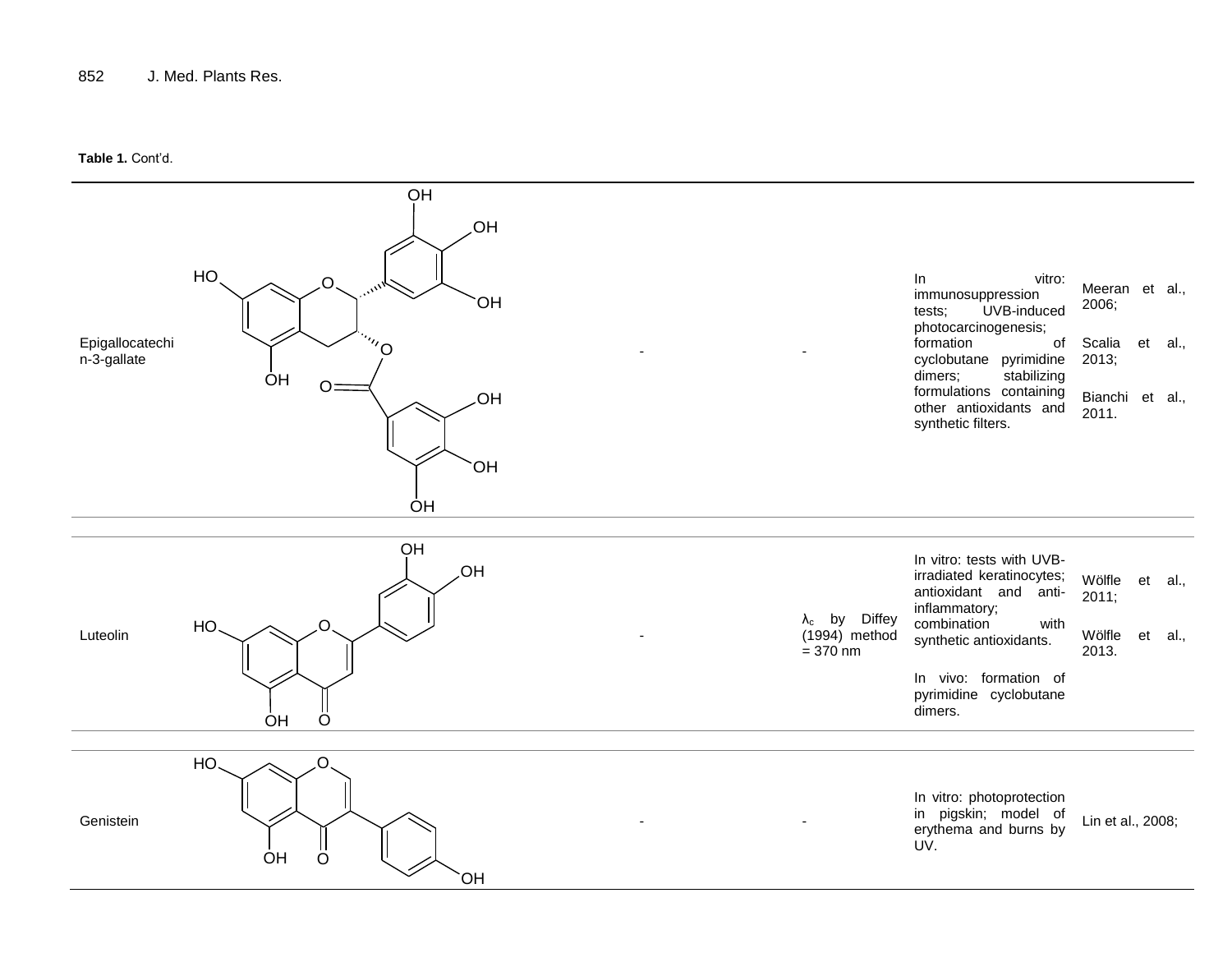#### **Table 1.** Cont'd.

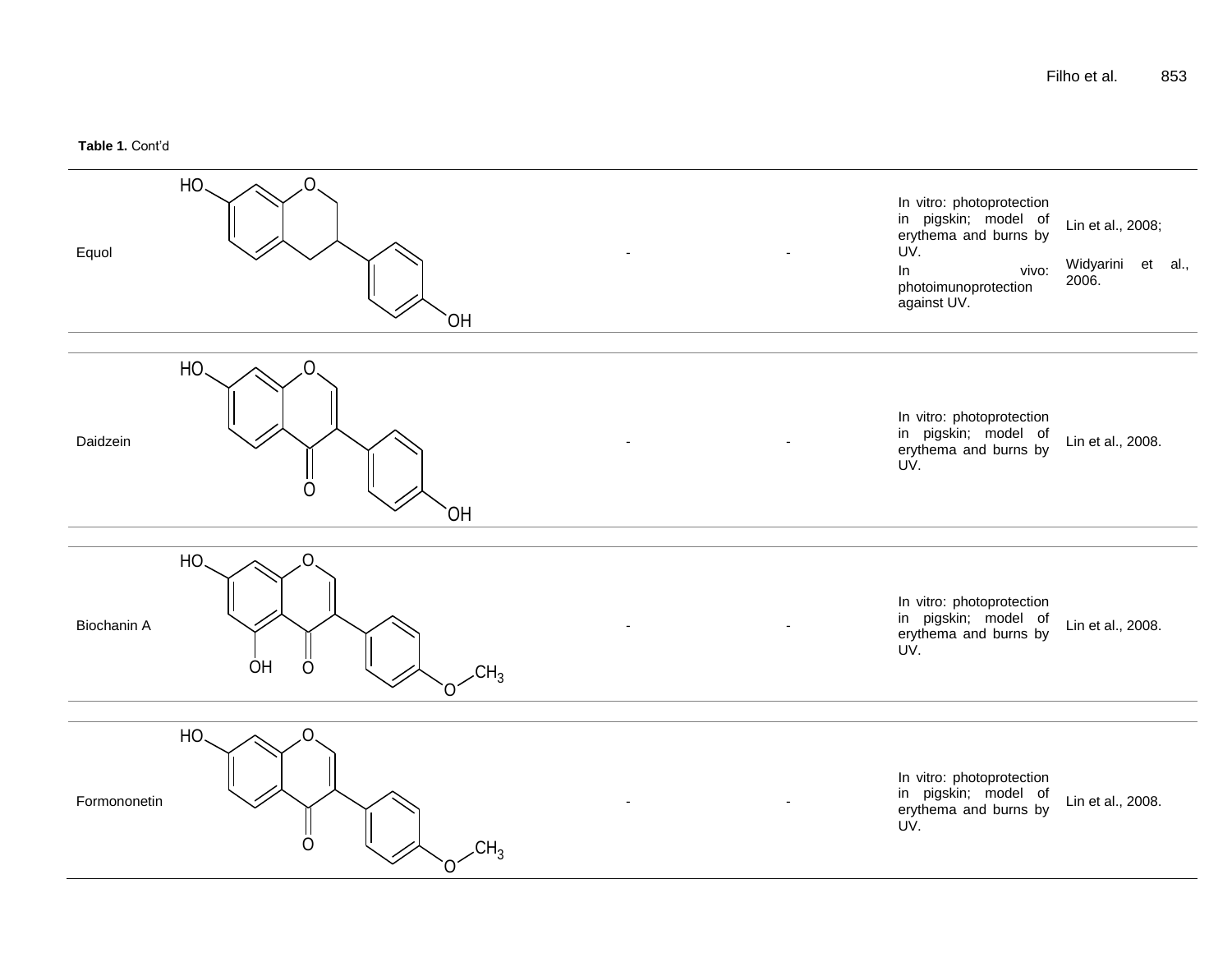#### **Table 1.** Cont'd

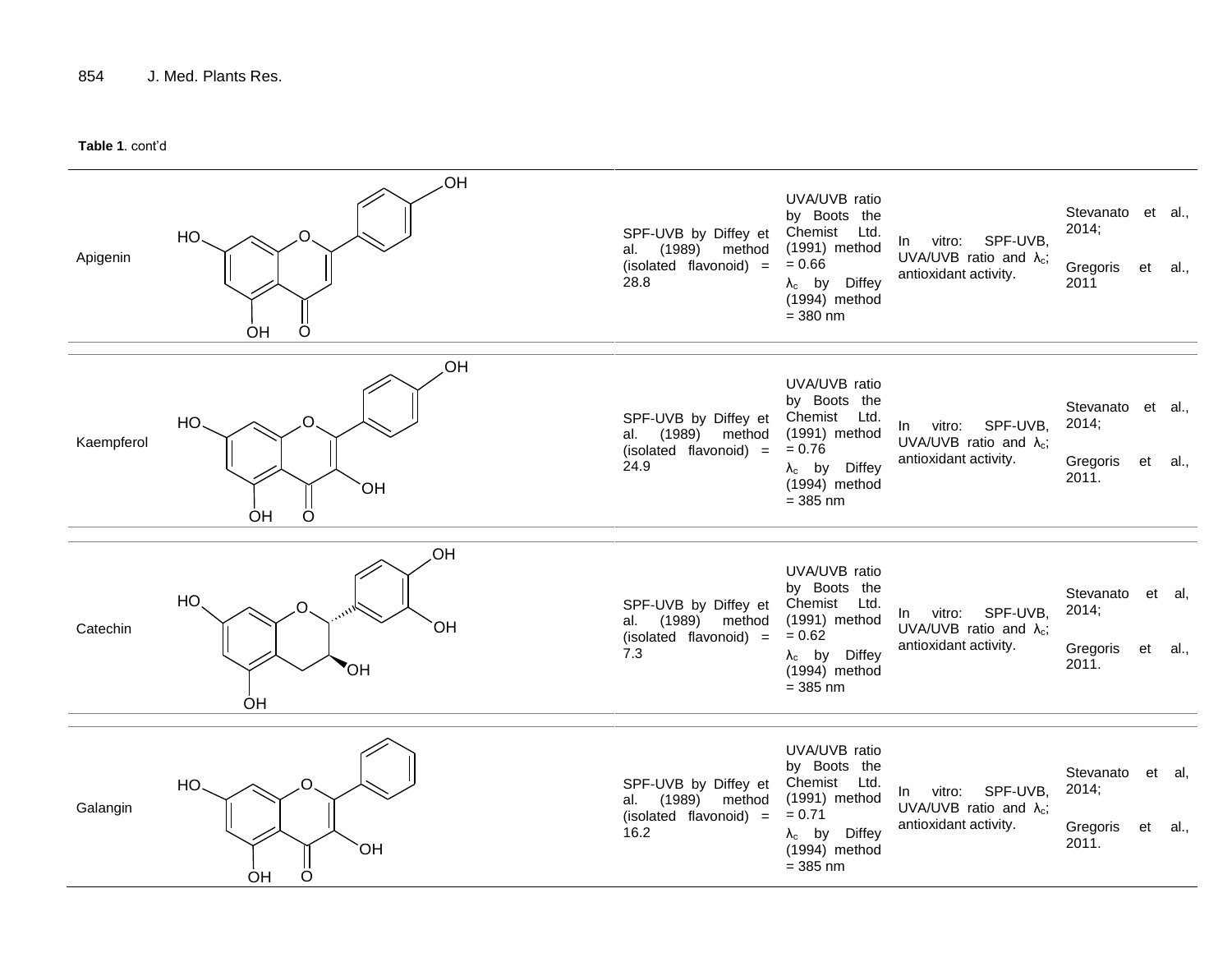**Table 1**. cont'd

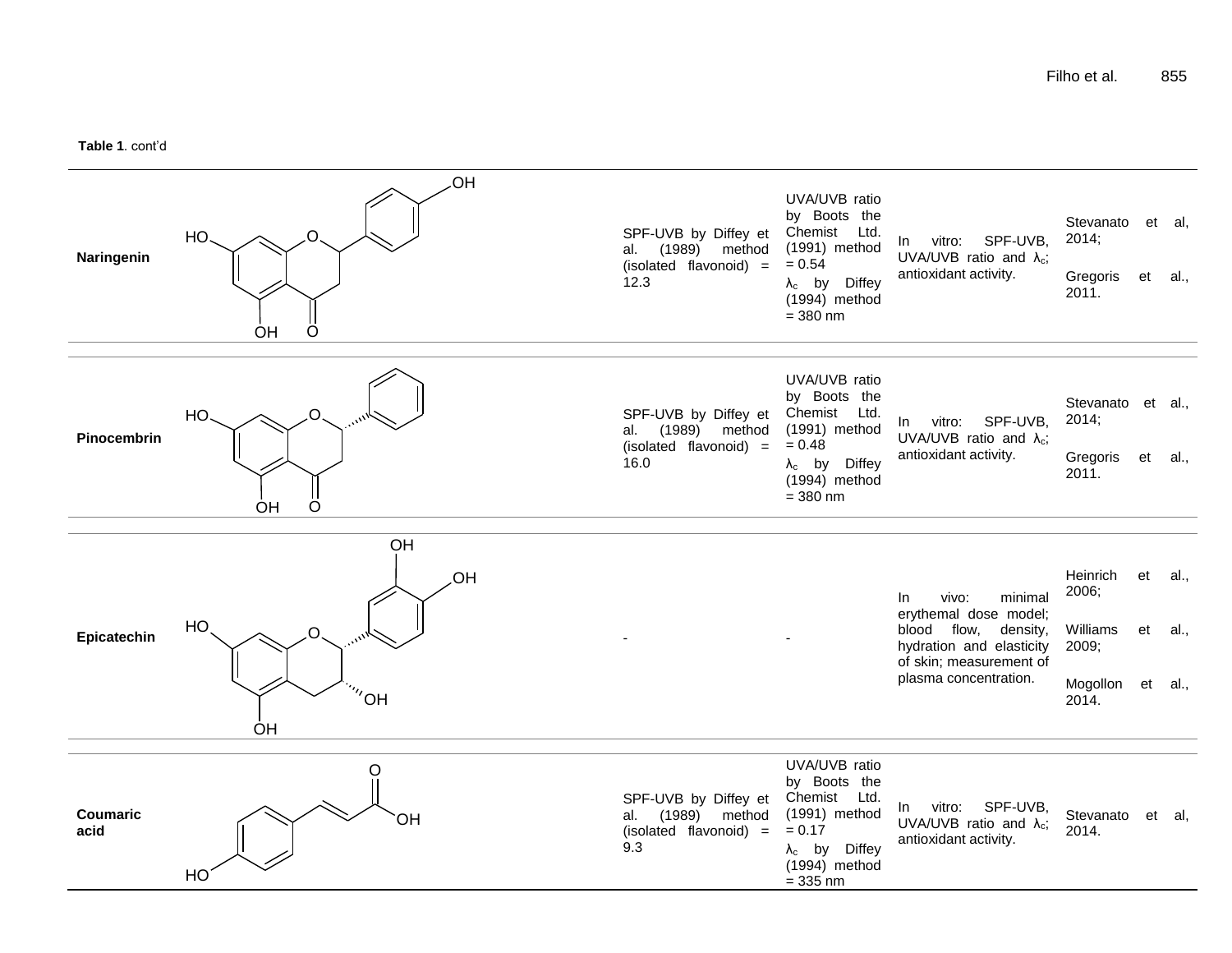**Table 1**. cont'd

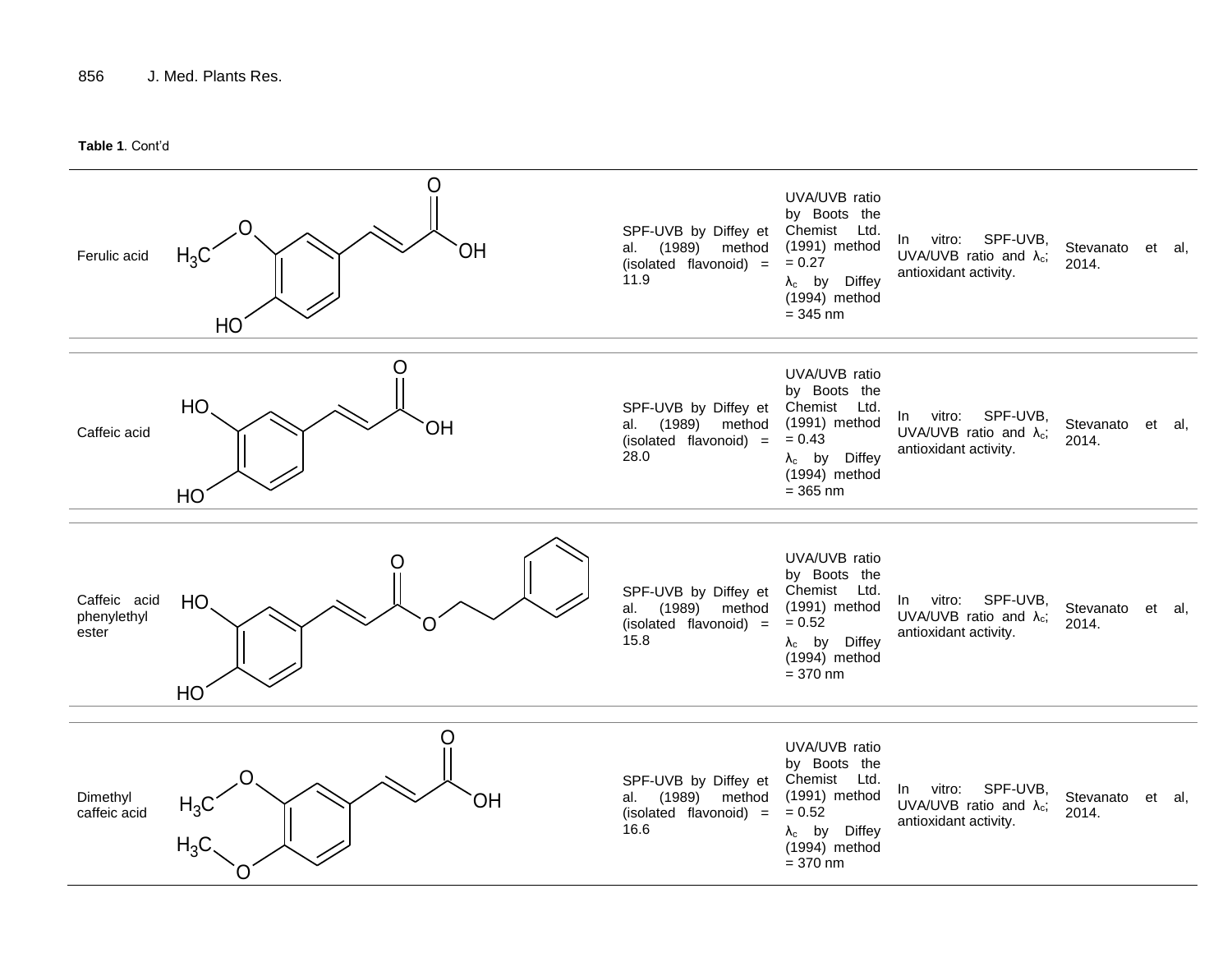**Table 1**. Cont'd

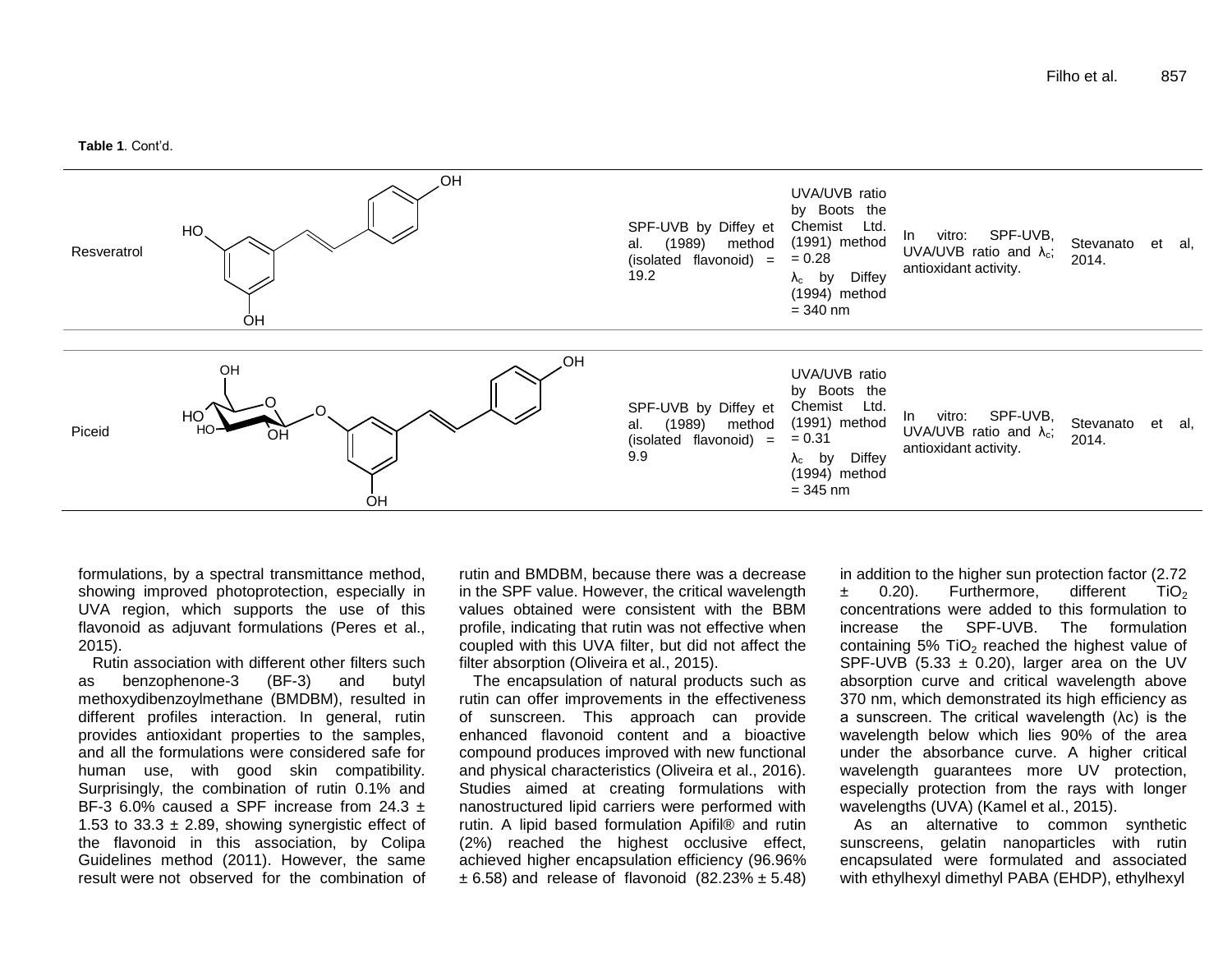**Table 1**. Cont'd.



formulations, by a spectral transmittance method, showing improved photoprotection, especially in UVA region, which supports the use of this flavonoid as adjuvant formulations (Peres et al., 2015).

Rutin association with different other filters such as benzophenone-3 (BF-3) and butyl methoxydibenzoylmethane (BMDBM), resulted in different profiles interaction. In general, rutin provides antioxidant properties to the samples, and all the formulations were considered safe for human use, with good skin compatibility. Surprisingly, the combination of rutin 0.1% and BF-3 6.0% caused a SPF increase from  $24.3 \pm$ 1.53 to  $33.3 \pm 2.89$ . showing synergistic effect of the flavonoid in this association, by Colipa Guidelines method (2011). However, the same result were not observed for the combination of

rutin and BMDBM, because there was a decrease in the SPF value. However, the critical wavelength values obtained were consistent with the BBM profile, indicating that rutin was not effective when coupled with this UVA filter, but did not affect the filter absorption (Oliveira et al., 2015).

The encapsulation of natural products such as rutin can offer improvements in the effectiveness of sunscreen. This approach can provide enhanced flavonoid content and a bioactive compound produces improved with new functional and physical characteristics (Oliveira et al., 2016). Studies aimed at creating formulations with nanostructured lipid carriers were performed with rutin. A lipid based formulation Apifil® and rutin (2%) reached the highest occlusive effect, achieved higher encapsulation efficiency (96.96%  $\pm$  6.58) and release of flavonoid (82.23%  $\pm$  5.48) in addition to the higher sun protection factor (2.72  $\pm$  0.20). Furthermore, different TiO<sub>2</sub> concentrations were added to this formulation to increase the SPF-UVB. The formulation containing  $5\%$  TiO<sub>2</sub> reached the highest value of SPF-UVB (5.33  $\pm$  0.20), larger area on the UV absorption curve and critical wavelength above 370 nm, which demonstrated its high efficiency as a sunscreen. The critical wavelength (λc) is the wavelength below which lies 90% of the area under the absorbance curve. A higher critical wavelength guarantees more UV protection, especially protection from the rays with longer wavelengths (UVA) (Kamel et al., 2015).

As an alternative to common synthetic sunscreens, gelatin nanoparticles with rutin encapsulated were formulated and associated with ethylhexyl dimethyl PABA (EHDP), ethylhexyl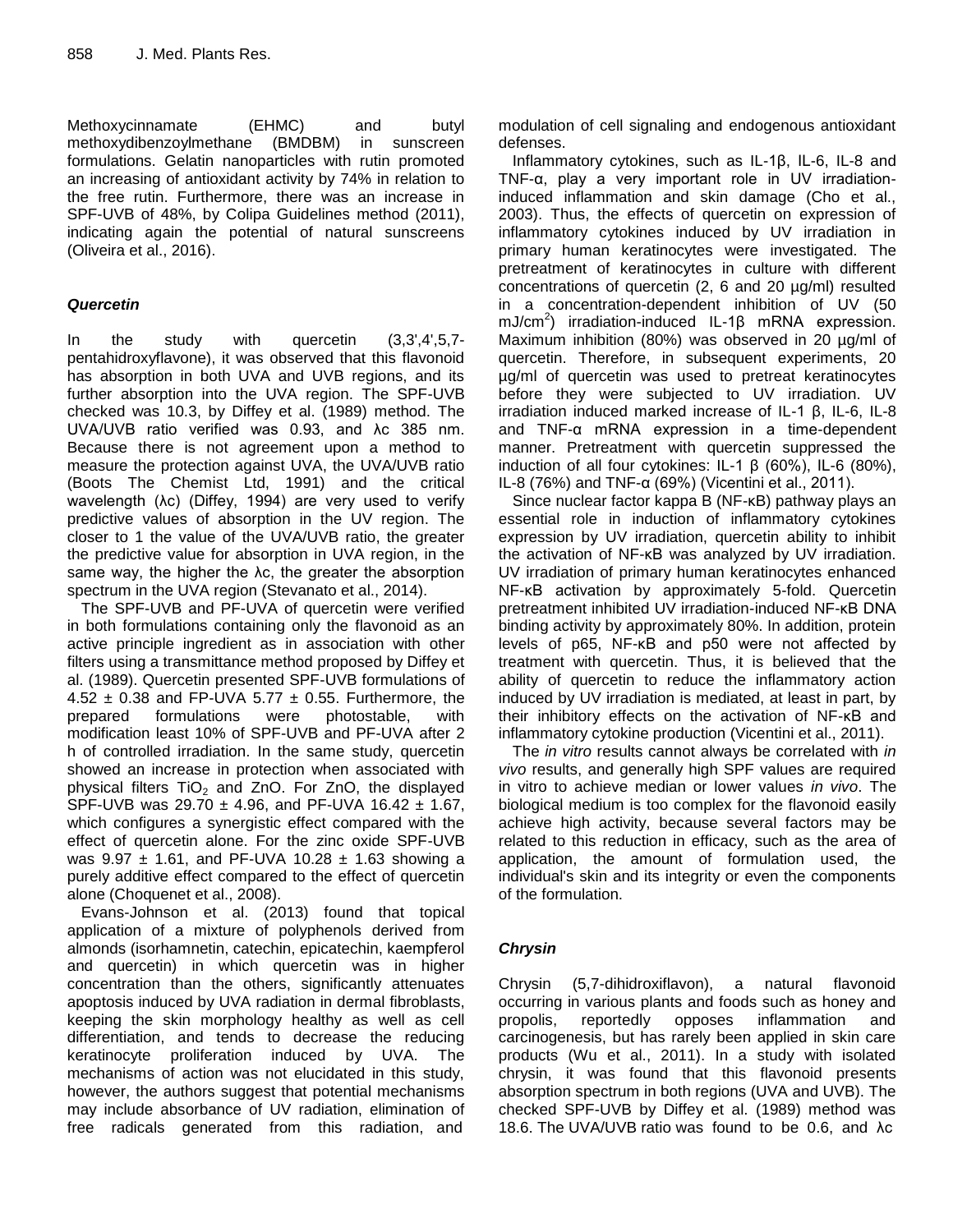Methoxycinnamate (EHMC) and butyl methoxydibenzoylmethane (BMDBM) in sunscreen formulations. Gelatin nanoparticles with rutin promoted an increasing of antioxidant activity by 74% in relation to the free rutin. Furthermore, there was an increase in SPF-UVB of 48%, by Colipa Guidelines method (2011), indicating again the potential of natural sunscreens (Oliveira et al., 2016).

## *Quercetin*

In the study with quercetin (3,3',4',5,7 pentahidroxyflavone), it was observed that this flavonoid has absorption in both UVA and UVB regions, and its further absorption into the UVA region. The SPF-UVB checked was 10.3, by Diffey et al. (1989) method. The UVA/UVB ratio verified was 0.93, and λc 385 nm. Because there is not agreement upon a method to measure the protection against UVA, the UVA/UVB ratio (Boots The Chemist Ltd, 1991) and the critical wavelength (λc) (Diffey, 1994) are very used to verify predictive values of absorption in the UV region. The closer to 1 the value of the UVA/UVB ratio, the greater the predictive value for absorption in UVA region, in the same way, the higher the λc, the greater the absorption spectrum in the UVA region (Stevanato et al., 2014).

The SPF-UVB and PF-UVA of quercetin were verified in both formulations containing only the flavonoid as an active principle ingredient as in association with other filters using a transmittance method proposed by Diffey et al. (1989). Quercetin presented SPF-UVB formulations of 4.52  $\pm$  0.38 and FP-UVA 5.77  $\pm$  0.55. Furthermore, the prepared formulations were photostable, with modification least 10% of SPF-UVB and PF-UVA after 2 h of controlled irradiation. In the same study, quercetin showed an increase in protection when associated with physical filters  $TiO<sub>2</sub>$  and ZnO. For ZnO, the displayed SPF-UVB was  $29.70 \pm 4.96$ , and PF-UVA 16.42  $\pm$  1.67, which configures a synergistic effect compared with the effect of quercetin alone. For the zinc oxide SPF-UVB was  $9.97 \pm 1.61$ , and PF-UVA 10.28  $\pm$  1.63 showing a purely additive effect compared to the effect of quercetin alone (Choquenet et al., 2008).

Evans-Johnson et al. (2013) found that topical application of a mixture of polyphenols derived from almonds (isorhamnetin, catechin, epicatechin, kaempferol and quercetin) in which quercetin was in higher concentration than the others, significantly attenuates apoptosis induced by UVA radiation in dermal fibroblasts, keeping the skin morphology healthy as well as cell differentiation, and tends to decrease the reducing keratinocyte proliferation induced by UVA. The mechanisms of action was not elucidated in this study, however, the authors suggest that potential mechanisms may include absorbance of UV radiation, elimination of free radicals generated from this radiation, and

modulation of cell signaling and endogenous antioxidant defenses.

Inflammatory cytokines, such as IL-1β, IL-6, IL-8 and TNF-α, play a very important role in UV irradiationinduced inflammation and skin damage (Cho et al., 2003). Thus, the effects of quercetin on expression of inflammatory cytokines induced by UV irradiation in primary human keratinocytes were investigated. The pretreatment of keratinocytes in culture with different concentrations of quercetin (2, 6 and 20 µg/ml) resulted in a concentration-dependent inhibition of UV (50 mJ/cm<sup>2</sup>) irradiation-induced IL-1β mRNA expression. Maximum inhibition (80%) was observed in 20 µg/ml of quercetin. Therefore, in subsequent experiments, 20 µg/ml of quercetin was used to pretreat keratinocytes before they were subjected to UV irradiation. UV irradiation induced marked increase of IL-1 β, IL-6, IL-8 and TNF-α mRNA expression in a time-dependent manner. Pretreatment with quercetin suppressed the induction of all four cytokines: IL-1 β (60%), IL-6 (80%), IL-8 (76%) and TNF-α (69%) (Vicentini et al., 2011).

Since nuclear factor kappa B (NF-κB) pathway plays an essential role in induction of inflammatory cytokines expression by UV irradiation, quercetin ability to inhibit the activation of NF-κB was analyzed by UV irradiation. UV irradiation of primary human keratinocytes enhanced NF-κB activation by approximately 5-fold. Quercetin pretreatment inhibited UV irradiation-induced NF-κB DNA binding activity by approximately 80%. In addition, protein levels of p65, NF-κB and p50 were not affected by treatment with quercetin. Thus, it is believed that the ability of quercetin to reduce the inflammatory action induced by UV irradiation is mediated, at least in part, by their inhibitory effects on the activation of NF-κB and inflammatory cytokine production (Vicentini et al., 2011).

The *in vitro* results cannot always be correlated with *in vivo* results, and generally high SPF values are required in vitro to achieve median or lower values *in vivo*. The biological medium is too complex for the flavonoid easily achieve high activity, because several factors may be related to this reduction in efficacy, such as the area of application, the amount of formulation used, the individual's skin and its integrity or even the components of the formulation.

# *Chrysin*

Chrysin (5,7-dihidroxiflavon), a natural flavonoid occurring in various plants and foods such as honey and propolis, reportedly opposes inflammation and carcinogenesis, but has rarely been applied in skin care products (Wu et al., 2011). In a study with isolated chrysin, it was found that this flavonoid presents absorption spectrum in both regions (UVA and UVB). The checked SPF-UVB by Diffey et al. (1989) method was 18.6. The UVA/UVB ratio was found to be 0.6, and λc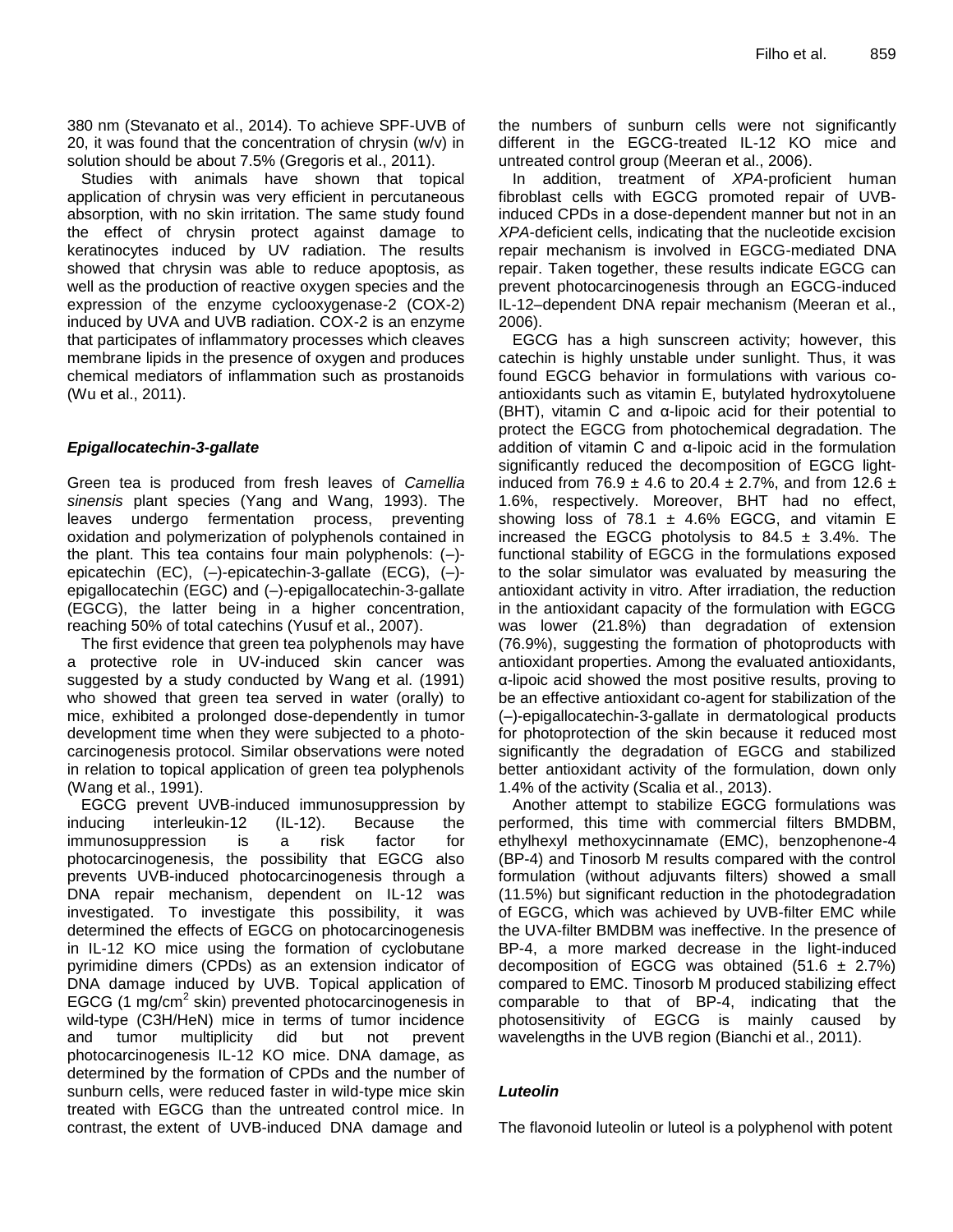380 nm (Stevanato et al., 2014). To achieve SPF-UVB of 20, it was found that the concentration of chrysin (w/v) in solution should be about 7.5% (Gregoris et al., 2011).

Studies with animals have shown that topical application of chrysin was very efficient in percutaneous absorption, with no skin irritation. The same study found the effect of chrysin protect against damage to keratinocytes induced by UV radiation. The results showed that chrysin was able to reduce apoptosis, as well as the production of reactive oxygen species and the expression of the enzyme cyclooxygenase-2 (COX-2) induced by UVA and UVB radiation. COX-2 is an enzyme that participates of inflammatory processes which cleaves membrane lipids in the presence of oxygen and produces chemical mediators of inflammation such as prostanoids (Wu et al., 2011).

#### *Epigallocatechin-3-gallate*

Green tea is produced from fresh leaves of *Camellia sinensis* plant species (Yang and Wang, 1993). The leaves undergo fermentation process, preventing oxidation and polymerization of polyphenols contained in the plant. This tea contains four main polyphenols: (–) epicatechin (EC), (–)-epicatechin-3-gallate (ECG), (–) epigallocatechin (EGC) and (–)-epigallocatechin-3-gallate (EGCG), the latter being in a higher concentration, reaching 50% of total catechins (Yusuf et al., 2007).

The first evidence that green tea polyphenols may have a protective role in UV-induced skin cancer was suggested by a study conducted by Wang et al. (1991) who showed that green tea served in water (orally) to mice, exhibited a prolonged dose-dependently in tumor development time when they were subjected to a photocarcinogenesis protocol. Similar observations were noted in relation to topical application of green tea polyphenols (Wang et al., 1991).

EGCG prevent UVB-induced immunosuppression by inducing interleukin-12 (IL-12). Because the immunosuppression is a risk factor for photocarcinogenesis, the possibility that EGCG also prevents UVB-induced photocarcinogenesis through a DNA repair mechanism, dependent on IL-12 was investigated. To investigate this possibility, it was determined the effects of EGCG on photocarcinogenesis in IL-12 KO mice using the formation of cyclobutane pyrimidine dimers (CPDs) as an extension indicator of DNA damage induced by UVB. Topical application of EGCG (1  $mg/cm^2$  skin) prevented photocarcinogenesis in wild-type (C3H/HeN) mice in terms of tumor incidence and tumor multiplicity did but not prevent photocarcinogenesis IL-12 KO mice. DNA damage, as determined by the formation of CPDs and the number of sunburn cells, were reduced faster in wild-type mice skin treated with EGCG than the untreated control mice. In contrast, the extent of UVB-induced DNA damage and

the numbers of sunburn cells were not significantly different in the EGCG-treated IL-12 KO mice and untreated control group (Meeran et al., 2006).

In addition, treatment of *XPA*-proficient human fibroblast cells with EGCG promoted repair of UVBinduced CPDs in a dose-dependent manner but not in an *XPA*-deficient cells, indicating that the nucleotide excision repair mechanism is involved in EGCG-mediated DNA repair. Taken together, these results indicate EGCG can prevent photocarcinogenesis through an EGCG-induced IL-12–dependent DNA repair mechanism (Meeran et al., 2006).

EGCG has a high sunscreen activity; however, this catechin is highly unstable under sunlight. Thus, it was found EGCG behavior in formulations with various coantioxidants such as vitamin E, butylated hydroxytoluene (BHT), vitamin C and α-lipoic acid for their potential to protect the EGCG from photochemical degradation. The addition of vitamin C and  $\alpha$ -lipoic acid in the formulation significantly reduced the decomposition of EGCG lightinduced from 76.9  $\pm$  4.6 to 20.4  $\pm$  2.7%, and from 12.6  $\pm$ 1.6%, respectively. Moreover, BHT had no effect, showing loss of 78.1  $\pm$  4.6% EGCG, and vitamin E increased the EGCG photolysis to  $84.5 \pm 3.4\%$ . The functional stability of EGCG in the formulations exposed to the solar simulator was evaluated by measuring the antioxidant activity in vitro. After irradiation, the reduction in the antioxidant capacity of the formulation with EGCG was lower (21.8%) than degradation of extension (76.9%), suggesting the formation of photoproducts with antioxidant properties. Among the evaluated antioxidants, α-lipoic acid showed the most positive results, proving to be an effective antioxidant co-agent for stabilization of the (–)-epigallocatechin-3-gallate in dermatological products for photoprotection of the skin because it reduced most significantly the degradation of EGCG and stabilized better antioxidant activity of the formulation, down only 1.4% of the activity (Scalia et al., 2013).

Another attempt to stabilize EGCG formulations was performed, this time with commercial filters BMDBM, ethylhexyl methoxycinnamate (EMC), benzophenone-4 (BP-4) and Tinosorb M results compared with the control formulation (without adjuvants filters) showed a small (11.5%) but significant reduction in the photodegradation of EGCG, which was achieved by UVB-filter EMC while the UVA-filter BMDBM was ineffective. In the presence of BP-4, a more marked decrease in the light-induced decomposition of EGCG was obtained  $(51.6 \pm 2.7\%)$ compared to EMC. Tinosorb M produced stabilizing effect comparable to that of BP-4, indicating that the photosensitivity of EGCG is mainly caused by wavelengths in the UVB region (Bianchi et al., 2011).

#### *Luteolin*

The flavonoid luteolin or luteol is a polyphenol with potent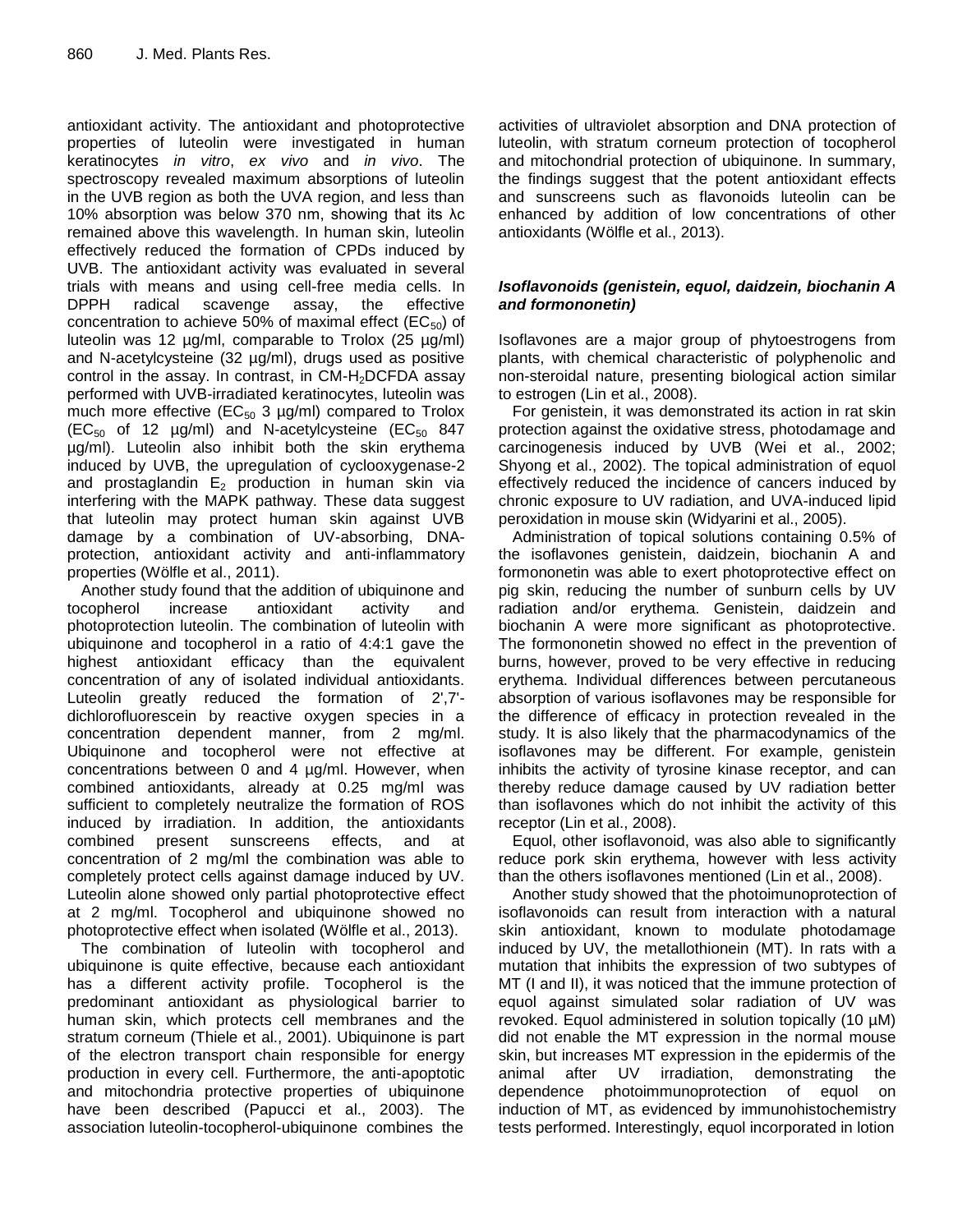antioxidant activity. The antioxidant and photoprotective properties of luteolin were investigated in human keratinocytes *in vitro*, *ex vivo* and *in vivo*. The spectroscopy revealed maximum absorptions of luteolin in the UVB region as both the UVA region, and less than 10% absorption was below 370 nm, showing that its λc remained above this wavelength. In human skin, luteolin effectively reduced the formation of CPDs induced by UVB. The antioxidant activity was evaluated in several trials with means and using cell-free media cells. In DPPH radical scavenge assay, the effective concentration to achieve 50% of maximal effect ( $EC_{50}$ ) of luteolin was 12  $\mu$ g/ml, comparable to Trolox (25  $\mu$ g/ml) and N-acetylcysteine (32 µg/ml), drugs used as positive control in the assay. In contrast, in  $CM-H<sub>2</sub>DCFDA$  assay performed with UVB-irradiated keratinocytes, luteolin was much more effective ( $EC_{50}$  3 µg/ml) compared to Trolox  $(EC_{50}$  of 12  $\mu$ g/ml) and N-acetylcysteine  $(EC_{50}$  847 µg/ml). Luteolin also inhibit both the skin erythema induced by UVB, the upregulation of cyclooxygenase-2 and prostaglandin  $E_2$  production in human skin via interfering with the MAPK pathway. These data suggest that luteolin may protect human skin against UVB damage by a combination of UV-absorbing, DNAprotection, antioxidant activity and anti-inflammatory properties (Wölfle et al., 2011).

Another study found that the addition of ubiquinone and tocopherol increase antioxidant activity and photoprotection luteolin. The combination of luteolin with ubiquinone and tocopherol in a ratio of 4:4:1 gave the highest antioxidant efficacy than the equivalent concentration of any of isolated individual antioxidants. Luteolin greatly reduced the formation of 2',7' dichlorofluorescein by reactive oxygen species in a concentration dependent manner, from 2 mg/ml. Ubiquinone and tocopherol were not effective at concentrations between 0 and 4 µg/ml. However, when combined antioxidants, already at 0.25 mg/ml was sufficient to completely neutralize the formation of ROS induced by irradiation. In addition, the antioxidants combined present sunscreens effects, and at concentration of 2 mg/ml the combination was able to completely protect cells against damage induced by UV. Luteolin alone showed only partial photoprotective effect at 2 mg/ml. Tocopherol and ubiquinone showed no photoprotective effect when isolated (Wölfle et al., 2013).

The combination of luteolin with tocopherol and ubiquinone is quite effective, because each antioxidant has a different activity profile. Tocopherol is the predominant antioxidant as physiological barrier to human skin, which protects cell membranes and the stratum corneum (Thiele et al., 2001). Ubiquinone is part of the electron transport chain responsible for energy production in every cell. Furthermore, the anti-apoptotic and mitochondria protective properties of ubiquinone have been described (Papucci et al., 2003). The association luteolin-tocopherol-ubiquinone combines the activities of ultraviolet absorption and DNA protection of luteolin, with stratum corneum protection of tocopherol and mitochondrial protection of ubiquinone. In summary, the findings suggest that the potent antioxidant effects and sunscreens such as flavonoids luteolin can be enhanced by addition of low concentrations of other antioxidants (Wölfle et al., 2013).

### *Isoflavonoids (genistein, equol, daidzein, biochanin A and formononetin)*

Isoflavones are a major group of phytoestrogens from plants, with chemical characteristic of polyphenolic and non-steroidal nature, presenting biological action similar to estrogen (Lin et al., 2008).

For genistein, it was demonstrated its action in rat skin protection against the oxidative stress, photodamage and carcinogenesis induced by UVB (Wei et al., 2002; Shyong et al., 2002). The topical administration of equol effectively reduced the incidence of cancers induced by chronic exposure to UV radiation, and UVA-induced lipid peroxidation in mouse skin (Widyarini et al., 2005).

Administration of topical solutions containing 0.5% of the isoflavones genistein, daidzein, biochanin A and formononetin was able to exert photoprotective effect on pig skin, reducing the number of sunburn cells by UV radiation and/or erythema. Genistein, daidzein and biochanin A were more significant as photoprotective. The formononetin showed no effect in the prevention of burns, however, proved to be very effective in reducing erythema. Individual differences between percutaneous absorption of various isoflavones may be responsible for the difference of efficacy in protection revealed in the study. It is also likely that the pharmacodynamics of the isoflavones may be different. For example, genistein inhibits the activity of tyrosine kinase receptor, and can thereby reduce damage caused by UV radiation better than isoflavones which do not inhibit the activity of this receptor (Lin et al., 2008).

Equol, other isoflavonoid, was also able to significantly reduce pork skin erythema, however with less activity than the others isoflavones mentioned (Lin et al., 2008).

Another study showed that the photoimunoprotection of isoflavonoids can result from interaction with a natural skin antioxidant, known to modulate photodamage induced by UV, the metallothionein (MT). In rats with a mutation that inhibits the expression of two subtypes of MT (I and II), it was noticed that the immune protection of equol against simulated solar radiation of UV was revoked. Equol administered in solution topically (10 µM) did not enable the MT expression in the normal mouse skin, but increases MT expression in the epidermis of the animal after UV irradiation, demonstrating the dependence photoimmunoprotection of equol on induction of MT, as evidenced by immunohistochemistry tests performed. Interestingly, equol incorporated in lotion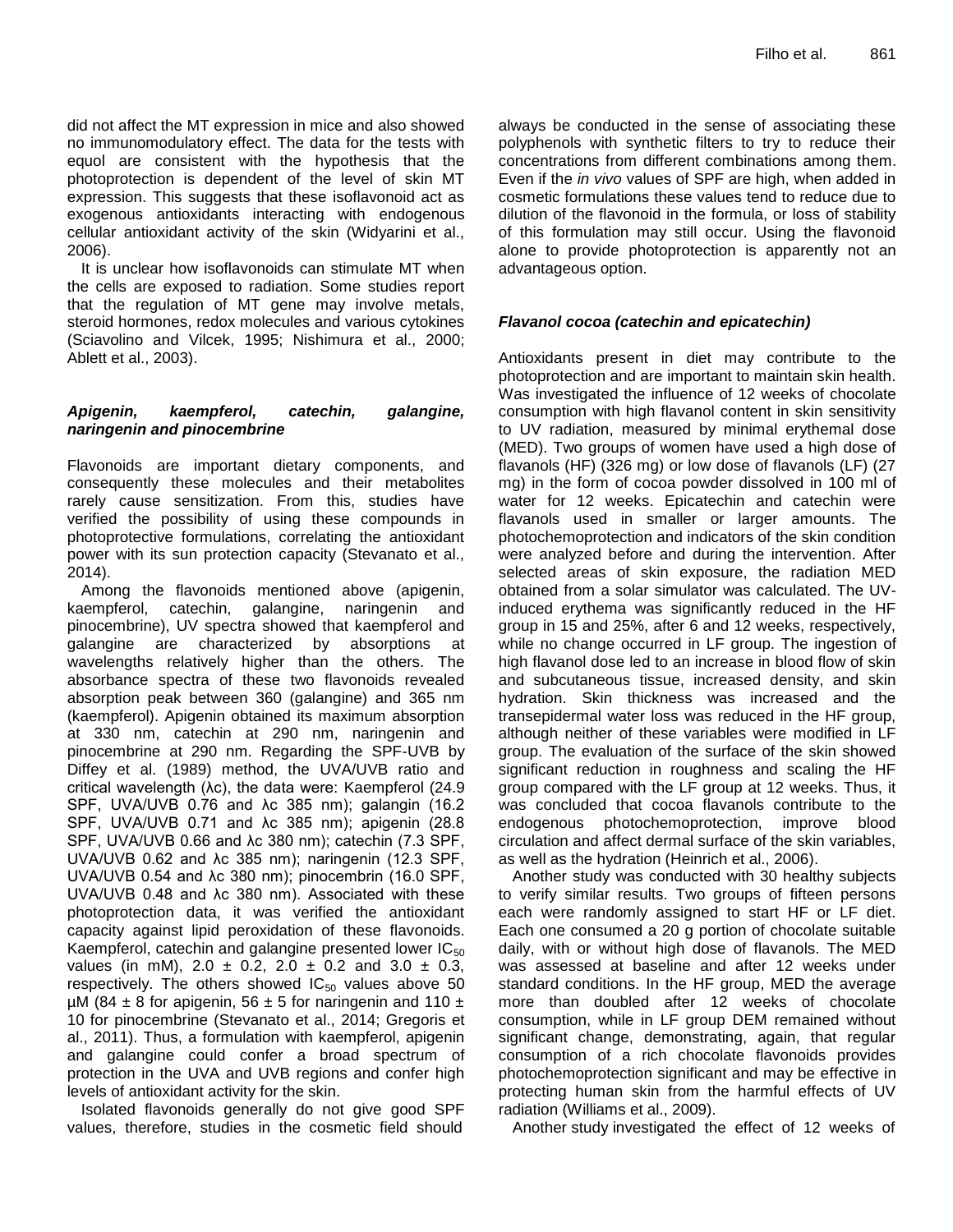did not affect the MT expression in mice and also showed no immunomodulatory effect. The data for the tests with equol are consistent with the hypothesis that the photoprotection is dependent of the level of skin MT expression. This suggests that these isoflavonoid act as exogenous antioxidants interacting with endogenous cellular antioxidant activity of the skin (Widyarini et al., 2006).

It is unclear how isoflavonoids can stimulate MT when the cells are exposed to radiation. Some studies report that the regulation of MT gene may involve metals, steroid hormones, redox molecules and various cytokines (Sciavolino and Vilcek, 1995; Nishimura et al., 2000; Ablett et al., 2003).

#### *Apigenin, kaempferol, catechin, galangine, naringenin and pinocembrine*

Flavonoids are important dietary components, and consequently these molecules and their metabolites rarely cause sensitization. From this, studies have verified the possibility of using these compounds in photoprotective formulations, correlating the antioxidant power with its sun protection capacity (Stevanato et al., 2014).

Among the flavonoids mentioned above (apigenin, kaempferol, catechin, galangine, naringenin and pinocembrine), UV spectra showed that kaempferol and galangine are characterized by absorptions at wavelengths relatively higher than the others. The absorbance spectra of these two flavonoids revealed absorption peak between 360 (galangine) and 365 nm (kaempferol). Apigenin obtained its maximum absorption at 330 nm, catechin at 290 nm, naringenin and pinocembrine at 290 nm. Regarding the SPF-UVB by Diffey et al. (1989) method, the UVA/UVB ratio and critical wavelength (λc), the data were: Kaempferol (24.9 SPF, UVA/UVB 0.76 and λc 385 nm); galangin (16.2 SPF, UVA/UVB 0.71 and λc 385 nm); apigenin (28.8 SPF, UVA/UVB 0.66 and λc 380 nm); catechin (7.3 SPF, UVA/UVB 0.62 and λc 385 nm); naringenin (12.3 SPF, UVA/UVB 0.54 and λc 380 nm); pinocembrin (16.0 SPF, UVA/UVB 0.48 and λc 380 nm). Associated with these photoprotection data, it was verified the antioxidant capacity against lipid peroxidation of these flavonoids. Kaempferol, catechin and galangine presented lower  $IC_{50}$ values (in mM),  $2.0 \pm 0.2$ ,  $2.0 \pm 0.2$  and  $3.0 \pm 0.3$ , respectively. The others showed  $IC_{50}$  values above 50  $\mu$ M (84  $\pm$  8 for apigenin, 56  $\pm$  5 for naringenin and 110  $\pm$ 10 for pinocembrine (Stevanato et al., 2014; Gregoris et al., 2011). Thus, a formulation with kaempferol, apigenin and galangine could confer a broad spectrum of protection in the UVA and UVB regions and confer high levels of antioxidant activity for the skin.

Isolated flavonoids generally do not give good SPF values, therefore, studies in the cosmetic field should

always be conducted in the sense of associating these polyphenols with synthetic filters to try to reduce their concentrations from different combinations among them. Even if the *in vivo* values of SPF are high, when added in cosmetic formulations these values tend to reduce due to dilution of the flavonoid in the formula, or loss of stability of this formulation may still occur. Using the flavonoid alone to provide photoprotection is apparently not an advantageous option.

### *Flavanol cocoa (catechin and epicatechin)*

Antioxidants present in diet may contribute to the photoprotection and are important to maintain skin health. Was investigated the influence of 12 weeks of chocolate consumption with high flavanol content in skin sensitivity to UV radiation, measured by minimal erythemal dose (MED). Two groups of women have used a high dose of flavanols (HF) (326 mg) or low dose of flavanols (LF) (27 mg) in the form of cocoa powder dissolved in 100 ml of water for 12 weeks. Epicatechin and catechin were flavanols used in smaller or larger amounts. The photochemoprotection and indicators of the skin condition were analyzed before and during the intervention. After selected areas of skin exposure, the radiation MED obtained from a solar simulator was calculated. The UVinduced erythema was significantly reduced in the HF group in 15 and 25%, after 6 and 12 weeks, respectively, while no change occurred in LF group. The ingestion of high flavanol dose led to an increase in blood flow of skin and subcutaneous tissue, increased density, and skin hydration. Skin thickness was increased and the transepidermal water loss was reduced in the HF group, although neither of these variables were modified in LF group. The evaluation of the surface of the skin showed significant reduction in roughness and scaling the HF group compared with the LF group at 12 weeks. Thus, it was concluded that cocoa flavanols contribute to the endogenous photochemoprotection, improve blood circulation and affect dermal surface of the skin variables, as well as the hydration (Heinrich et al., 2006).

Another study was conducted with 30 healthy subjects to verify similar results. Two groups of fifteen persons each were randomly assigned to start HF or LF diet. Each one consumed a 20 g portion of chocolate suitable daily, with or without high dose of flavanols. The MED was assessed at baseline and after 12 weeks under standard conditions. In the HF group, MED the average more than doubled after 12 weeks of chocolate consumption, while in LF group DEM remained without significant change, demonstrating, again, that regular consumption of a rich chocolate flavonoids provides photochemoprotection significant and may be effective in protecting human skin from the harmful effects of UV radiation (Williams et al., 2009).

Another study investigated the effect of 12 weeks of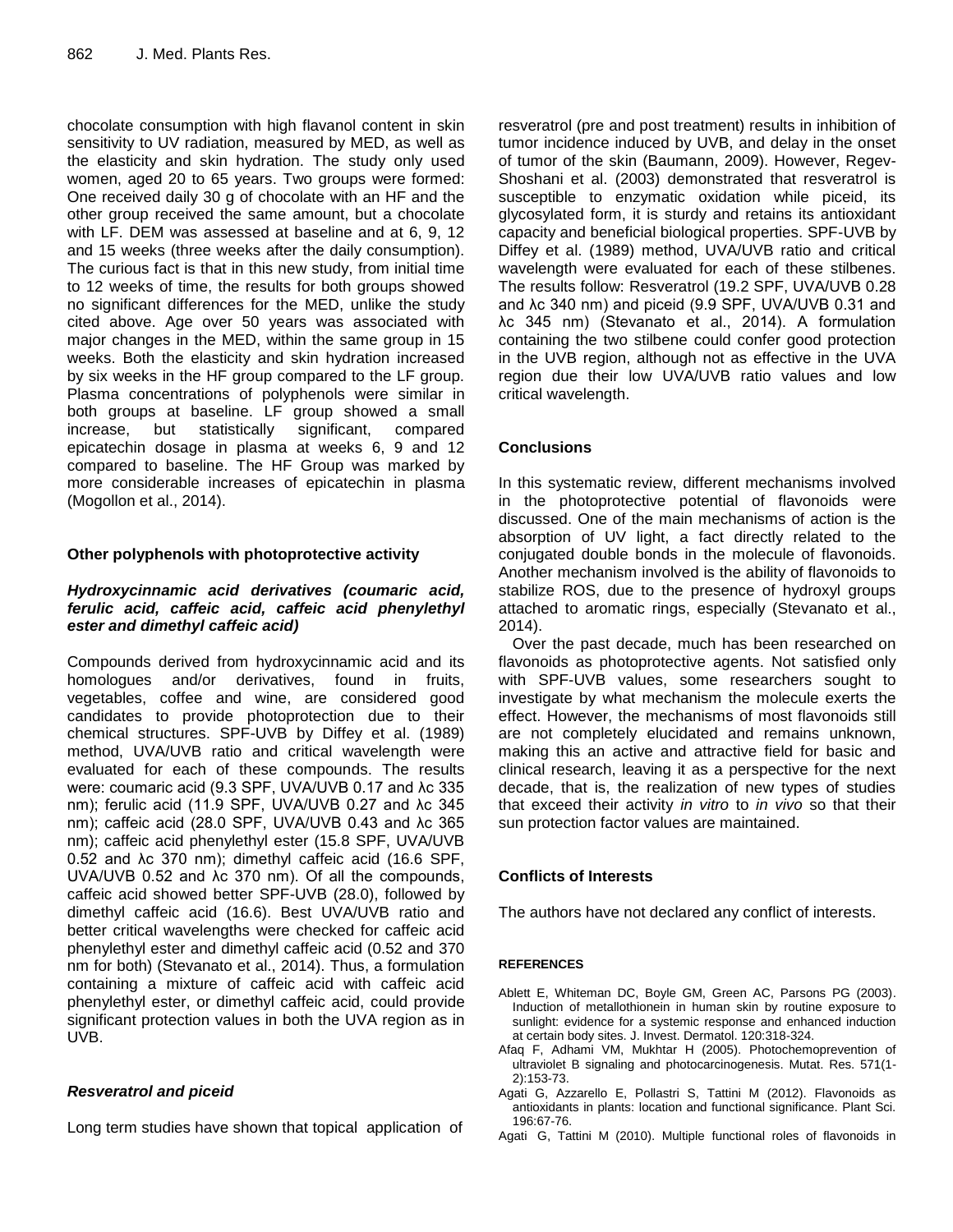chocolate consumption with high flavanol content in skin sensitivity to UV radiation, measured by MED, as well as the elasticity and skin hydration. The study only used women, aged 20 to 65 years. Two groups were formed: One received daily 30 g of chocolate with an HF and the other group received the same amount, but a chocolate with LF. DEM was assessed at baseline and at 6, 9, 12 and 15 weeks (three weeks after the daily consumption). The curious fact is that in this new study, from initial time to 12 weeks of time, the results for both groups showed no significant differences for the MED, unlike the study cited above. Age over 50 years was associated with major changes in the MED, within the same group in 15 weeks. Both the elasticity and skin hydration increased by six weeks in the HF group compared to the LF group. Plasma concentrations of polyphenols were similar in both groups at baseline. LF group showed a small increase, but statistically significant, compared epicatechin dosage in plasma at weeks 6, 9 and 12 compared to baseline. The HF Group was marked by more considerable increases of epicatechin in plasma (Mogollon et al., 2014).

#### **Other polyphenols with photoprotective activity**

#### *Hydroxycinnamic acid derivatives (coumaric acid, ferulic acid, caffeic acid, caffeic acid phenylethyl ester and dimethyl caffeic acid)*

Compounds derived from hydroxycinnamic acid and its homologues and/or derivatives, found in fruits, vegetables, coffee and wine, are considered good candidates to provide photoprotection due to their chemical structures. SPF-UVB by Diffey et al. (1989) method, UVA/UVB ratio and critical wavelength were evaluated for each of these compounds. The results were: coumaric acid (9.3 SPF, UVA/UVB 0.17 and λc 335 nm); ferulic acid (11.9 SPF, UVA/UVB 0.27 and λc 345 nm); caffeic acid (28.0 SPF, UVA/UVB 0.43 and λc 365 nm); caffeic acid phenylethyl ester (15.8 SPF, UVA/UVB 0.52 and λc 370 nm); dimethyl caffeic acid (16.6 SPF, UVA/UVB 0.52 and λc 370 nm). Of all the compounds, caffeic acid showed better SPF-UVB (28.0), followed by dimethyl caffeic acid (16.6). Best UVA/UVB ratio and better critical wavelengths were checked for caffeic acid phenylethyl ester and dimethyl caffeic acid (0.52 and 370 nm for both) (Stevanato et al., 2014). Thus, a formulation containing a mixture of caffeic acid with caffeic acid phenylethyl ester, or dimethyl caffeic acid, could provide significant protection values in both the UVA region as in UVB.

# *Resveratrol and piceid*

Long term studies have shown that topical application of

resveratrol (pre and post treatment) results in inhibition of tumor incidence induced by UVB, and delay in the onset of tumor of the skin (Baumann, 2009). However, Regev-Shoshani et al. (2003) demonstrated that resveratrol is susceptible to enzymatic oxidation while piceid, its glycosylated form, it is sturdy and retains its antioxidant capacity and beneficial biological properties. SPF-UVB by Diffey et al. (1989) method, UVA/UVB ratio and critical wavelength were evaluated for each of these stilbenes. The results follow: Resveratrol (19.2 SPF, UVA/UVB 0.28 and λc 340 nm) and piceid (9.9 SPF, UVA/UVB 0.31 and λc 345 nm) (Stevanato et al., 2014). A formulation containing the two stilbene could confer good protection in the UVB region, although not as effective in the UVA region due their low UVA/UVB ratio values and low critical wavelength.

# **Conclusions**

In this systematic review, different mechanisms involved in the photoprotective potential of flavonoids were discussed. One of the main mechanisms of action is the absorption of UV light, a fact directly related to the conjugated double bonds in the molecule of flavonoids. Another mechanism involved is the ability of flavonoids to stabilize ROS, due to the presence of hydroxyl groups attached to aromatic rings, especially (Stevanato et al., 2014).

Over the past decade, much has been researched on flavonoids as photoprotective agents. Not satisfied only with SPF-UVB values, some researchers sought to investigate by what mechanism the molecule exerts the effect. However, the mechanisms of most flavonoids still are not completely elucidated and remains unknown, making this an active and attractive field for basic and clinical research, leaving it as a perspective for the next decade, that is, the realization of new types of studies that exceed their activity *in vitro* to *in vivo* so that their sun protection factor values are maintained.

# **Conflicts of Interests**

The authors have not declared any conflict of interests.

#### **REFERENCES**

- Ablett E, Whiteman DC, Boyle GM, Green AC, Parsons PG (2003). Induction of metallothionein in human skin by routine exposure to sunlight: evidence for a systemic response and enhanced induction at certain body sites. J. Invest. Dermatol. 120:318-324.
- Afaq F, Adhami VM, Mukhtar H (2005). Photochemoprevention of ultraviolet B signaling and photocarcinogenesis. Mutat. Res. 571(1- 2):153-73.
- Agati G, Azzarello E, Pollastri S, Tattini M (2012). Flavonoids as antioxidants in plants: location and functional significance. Plant Sci. 196:67-76.
- Agati G, Tattini M (2010). Multiple functional roles of flavonoids in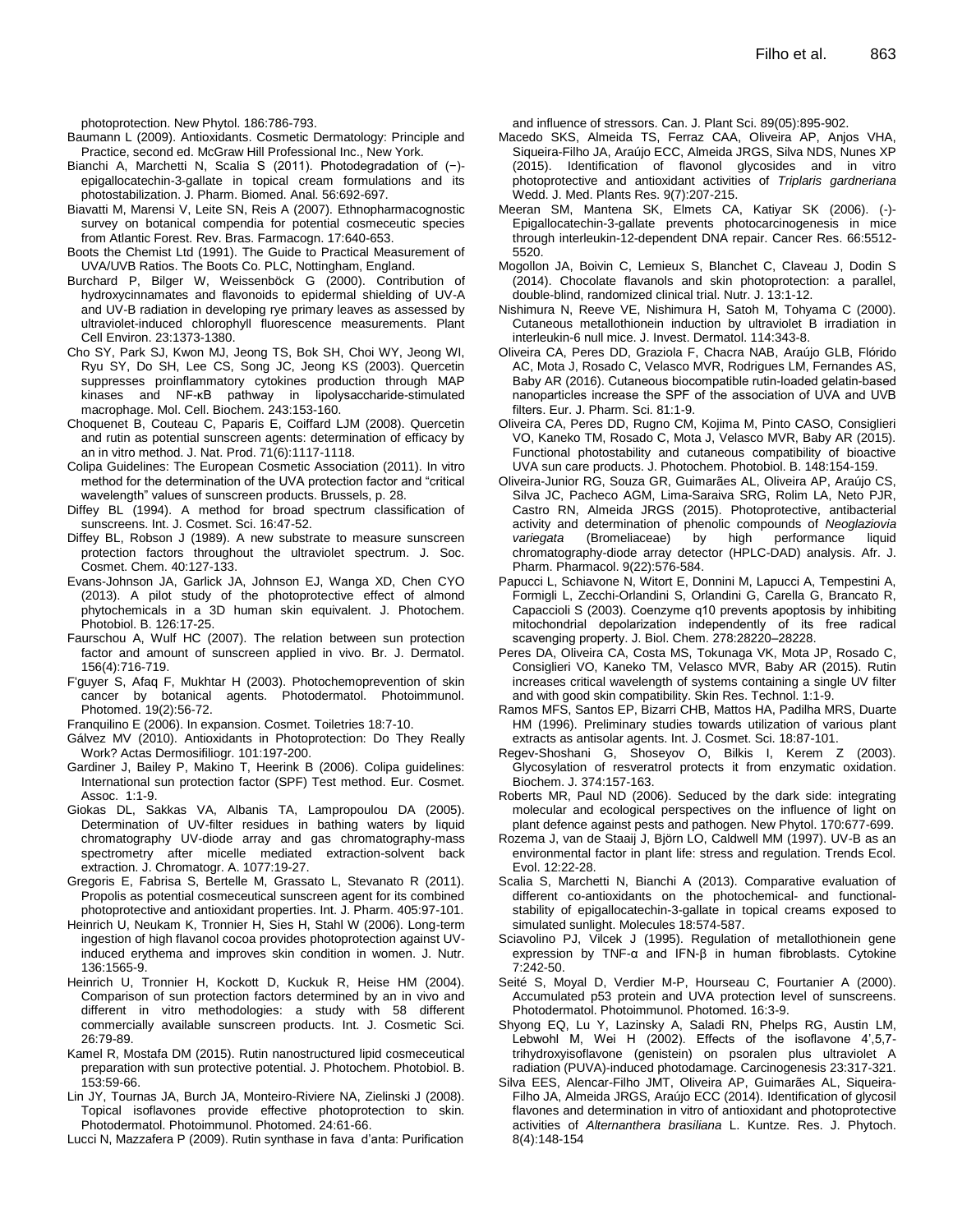photoprotection. New Phytol. 186:786-793.

- Baumann L (2009). Antioxidants. Cosmetic Dermatology: Principle and Practice, second ed. McGraw Hill Professional Inc., New York.
- Bianchi A, Marchetti N, Scalia S (2011). Photodegradation of (−) epigallocatechin-3-gallate in topical cream formulations and its photostabilization. J. Pharm. Biomed. Anal. 56:692-697.
- Biavatti M, Marensi V, Leite SN, Reis A (2007). Ethnopharmacognostic survey on botanical compendia for potential cosmeceutic species from Atlantic Forest. Rev. Bras. Farmacogn. 17:640-653.
- Boots the Chemist Ltd (1991). The Guide to Practical Measurement of UVA/UVB Ratios. The Boots Co. PLC, Nottingham, England.
- Burchard P, Bilger W, Weissenböck G (2000). Contribution of hydroxycinnamates and flavonoids to epidermal shielding of UV-A and UV-B radiation in developing rye primary leaves as assessed by ultraviolet-induced chlorophyll fluorescence measurements. Plant Cell Environ. 23:1373-1380.
- Cho SY, Park SJ, Kwon MJ, Jeong TS, Bok SH, Choi WY, Jeong WI, Ryu SY, Do SH, Lee CS, Song JC, Jeong KS (2003). Quercetin suppresses proinflammatory cytokines production through MAP kinases and NF-κB pathway in lipolysaccharide-stimulated macrophage. Mol. Cell. Biochem. 243:153-160.
- Choquenet B, Couteau C, Paparis E, Coiffard LJM (2008). Quercetin and rutin as potential sunscreen agents: determination of efficacy by an in vitro method. J. Nat. Prod. 71(6):1117-1118.
- Colipa Guidelines: The European Cosmetic Association (2011). In vitro method for the determination of the UVA protection factor and "critical wavelength" values of sunscreen products. Brussels, p. 28.
- Diffey BL (1994). A method for broad spectrum classification of sunscreens. Int. J. Cosmet. Sci. 16:47-52.
- Diffey BL, Robson J (1989). A new substrate to measure sunscreen protection factors throughout the ultraviolet spectrum. J. Soc. Cosmet. Chem. 40:127-133.
- Evans-Johnson JA, Garlick JA, Johnson EJ, Wanga XD, Chen CYO (2013). A pilot study of the photoprotective effect of almond phytochemicals in a 3D human skin equivalent. J. Photochem. Photobiol. B. 126:17-25.
- Faurschou A, Wulf HC (2007). The relation between sun protection factor and amount of sunscreen applied in vivo. Br. J. Dermatol. 156(4):716-719.
- F'guyer S, Afaq F, Mukhtar H (2003). Photochemoprevention of skin cancer by botanical agents. Photodermatol. Photoimmunol. Photomed. 19(2):56-72.

Franquilino E (2006). In expansion. Cosmet. Toiletries 18:7-10.

- Gálvez MV (2010). Antioxidants in Photoprotection: Do They Really Work? Actas Dermosifiliogr. 101:197-200.
- Gardiner J, Bailey P, Makino T, Heerink B (2006). Colipa guidelines: International sun protection factor (SPF) Test method. Eur. Cosmet. Assoc. 1:1-9.
- Giokas DL, Sakkas VA, Albanis TA, Lampropoulou DA (2005). Determination of UV-filter residues in bathing waters by liquid chromatography UV-diode array and gas chromatography-mass spectrometry after micelle mediated extraction-solvent back extraction. J. Chromatogr. A. 1077:19-27.
- Gregoris E, Fabrisa S, Bertelle M, Grassato L, Stevanato R (2011). Propolis as potential cosmeceutical sunscreen agent for its combined photoprotective and antioxidant properties. Int. J. Pharm. 405:97-101.
- Heinrich U, Neukam K, Tronnier H, Sies H, Stahl W (2006). Long-term ingestion of high flavanol cocoa provides photoprotection against UVinduced erythema and improves skin condition in women. J. Nutr. 136:1565-9.
- Heinrich U, Tronnier H, Kockott D, Kuckuk R, Heise HM (2004). Comparison of sun protection factors determined by an in vivo and different in vitro methodologies: a study with 58 different commercially available sunscreen products. Int. J. Cosmetic Sci. 26:79-89.
- Kamel R, Mostafa DM (2015). Rutin nanostructured lipid cosmeceutical preparation with sun protective potential. J. Photochem. Photobiol. B. 153:59-66.
- Lin JY, Tournas JA, Burch JA, Monteiro-Riviere NA, Zielinski J (2008). Topical isoflavones provide effective photoprotection to skin. Photodermatol. Photoimmunol. Photomed. 24:61-66.

Lucci N, Mazzafera P (2009). Rutin synthase in fava d'anta: Purification

and influence of stressors. Can. J. Plant Sci. 89(05):895-902.

- Macedo SKS, Almeida TS, Ferraz CAA, Oliveira AP, Anjos VHA, Siqueira-Filho JA, Araújo ECC, Almeida JRGS, Silva NDS, Nunes XP (2015). Identification of flavonol glycosides and in vitro photoprotective and antioxidant activities of *Triplaris gardneriana* Wedd. J. Med. Plants Res. 9(7):207-215.
- Meeran SM, Mantena SK, Elmets CA, Katiyar SK (2006). (-)- Epigallocatechin-3-gallate prevents photocarcinogenesis in mice through interleukin-12-dependent DNA repair. Cancer Res. 66:5512- 5520.
- Mogollon JA, Boivin C, Lemieux S, Blanchet C, Claveau J, Dodin S (2014). Chocolate flavanols and skin photoprotection: a parallel, double-blind, randomized clinical trial. Nutr. J. 13:1-12.
- Nishimura N, Reeve VE, Nishimura H, Satoh M, Tohyama C (2000). Cutaneous metallothionein induction by ultraviolet B irradiation in interleukin-6 null mice. J. Invest. Dermatol. 114:343-8.
- Oliveira CA, Peres DD, Graziola F, Chacra NAB, Araújo GLB, Flórido AC, Mota J, Rosado C, Velasco MVR, Rodrigues LM, Fernandes AS, Baby AR (2016). Cutaneous biocompatible rutin-loaded gelatin-based nanoparticles increase the SPF of the association of UVA and UVB filters. Eur. J. Pharm. Sci. 81:1-9.
- Oliveira CA, Peres DD, Rugno CM, Kojima M, Pinto CASO, Consiglieri VO, Kaneko TM, Rosado C, Mota J, Velasco MVR, Baby AR (2015). Functional photostability and cutaneous compatibility of bioactive UVA sun care products. J. Photochem. Photobiol. B. 148:154-159.
- Oliveira-Junior RG, Souza GR, Guimarães AL, Oliveira AP, Araújo CS, Silva JC, Pacheco AGM, Lima-Saraiva SRG, Rolim LA, Neto PJR, Castro RN, Almeida JRGS (2015). Photoprotective, antibacterial activity and determination of phenolic compounds of *Neoglaziovia variegata* (Bromeliaceae) by high performance liquid chromatography-diode array detector (HPLC-DAD) analysis. Afr. J. Pharm. Pharmacol. 9(22):576-584.
- Papucci L, Schiavone N, Witort E, Donnini M, Lapucci A, Tempestini A, Formigli L, Zecchi-Orlandini S, Orlandini G, Carella G, Brancato R, Capaccioli S (2003). Coenzyme q10 prevents apoptosis by inhibiting mitochondrial depolarization independently of its free radical scavenging property. J. Biol. Chem. 278:28220–28228.
- Peres DA, Oliveira CA, Costa MS, Tokunaga VK, Mota JP, Rosado C, Consiglieri VO, Kaneko TM, Velasco MVR, Baby AR (2015). Rutin increases critical wavelength of systems containing a single UV filter and with good skin compatibility. Skin Res. Technol. 1:1-9.
- Ramos MFS, Santos EP, Bizarri CHB, Mattos HA, Padilha MRS, Duarte HM (1996). Preliminary studies towards utilization of various plant extracts as antisolar agents. Int. J. Cosmet. Sci. 18:87-101.
- Regev-Shoshani G, Shoseyov O, Bilkis I, Kerem Z (2003). Glycosylation of resveratrol protects it from enzymatic oxidation. Biochem. J. 374:157-163.
- Roberts MR, Paul ND (2006). Seduced by the dark side: integrating molecular and ecological perspectives on the influence of light on plant defence against pests and pathogen. New Phytol. 170:677-699.
- Rozema J, van de Staaij J, Björn LO, Caldwell MM (1997). UV-B as an environmental factor in plant life: stress and regulation. Trends Ecol. Evol. 12:22-28.
- Scalia S, Marchetti N, Bianchi A (2013). Comparative evaluation of different co-antioxidants on the photochemical- and functionalstability of epigallocatechin-3-gallate in topical creams exposed to simulated sunlight. Molecules 18:574-587.
- Sciavolino PJ, Vilcek J (1995). Regulation of metallothionein gene expression by TNF-α and IFN-β in human fibroblasts. Cytokine 7:242-50.
- Seité S, Moyal D, Verdier M-P, Hourseau C, Fourtanier A (2000). Accumulated p53 protein and UVA protection level of sunscreens. Photodermatol. Photoimmunol. Photomed. 16:3-9.
- Shyong EQ, Lu Y, Lazinsky A, Saladi RN, Phelps RG, Austin LM, Lebwohl M, Wei H (2002). Effects of the isoflavone 4',5,7 trihydroxyisoflavone (genistein) on psoralen plus ultraviolet A radiation (PUVA)-induced photodamage. Carcinogenesis 23:317-321.
- Silva EES, Alencar-Filho JMT, Oliveira AP, Guimarães AL, Siqueira-Filho JA, Almeida JRGS, Araújo ECC (2014). Identification of glycosil flavones and determination in vitro of antioxidant and photoprotective activities of *Alternanthera brasiliana* L. Kuntze. Res. J. Phytoch. 8(4):148-154